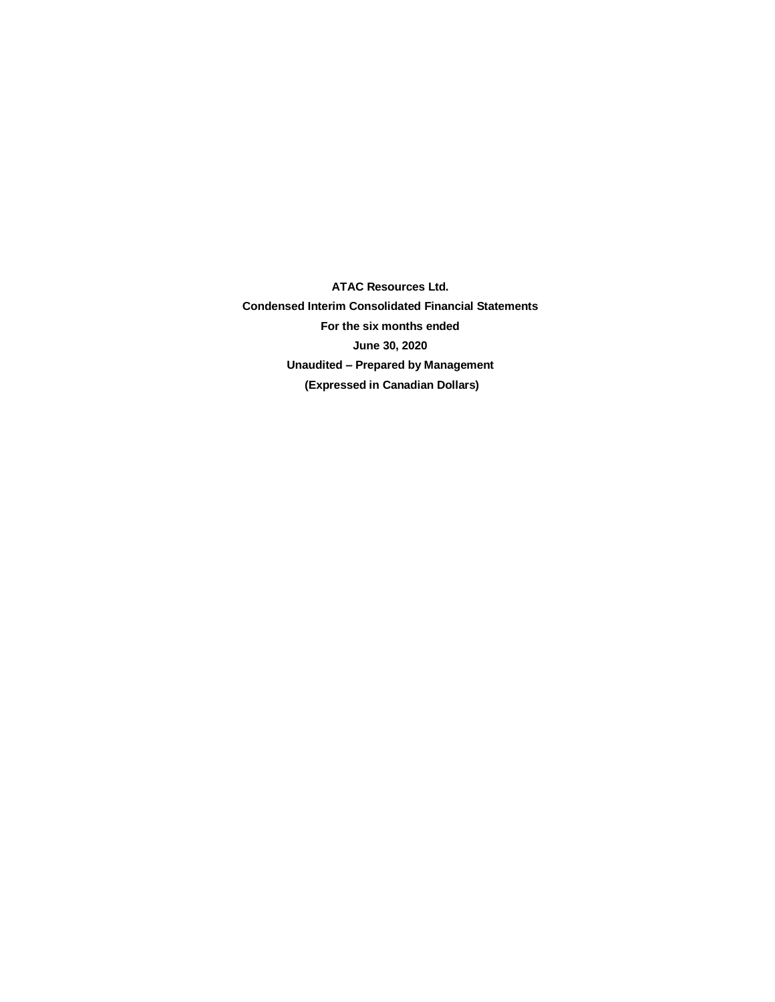**ATAC Resources Ltd. Condensed Interim Consolidated Financial Statements For the six months ended June 30, 2020 Unaudited – Prepared by Management (Expressed in Canadian Dollars)**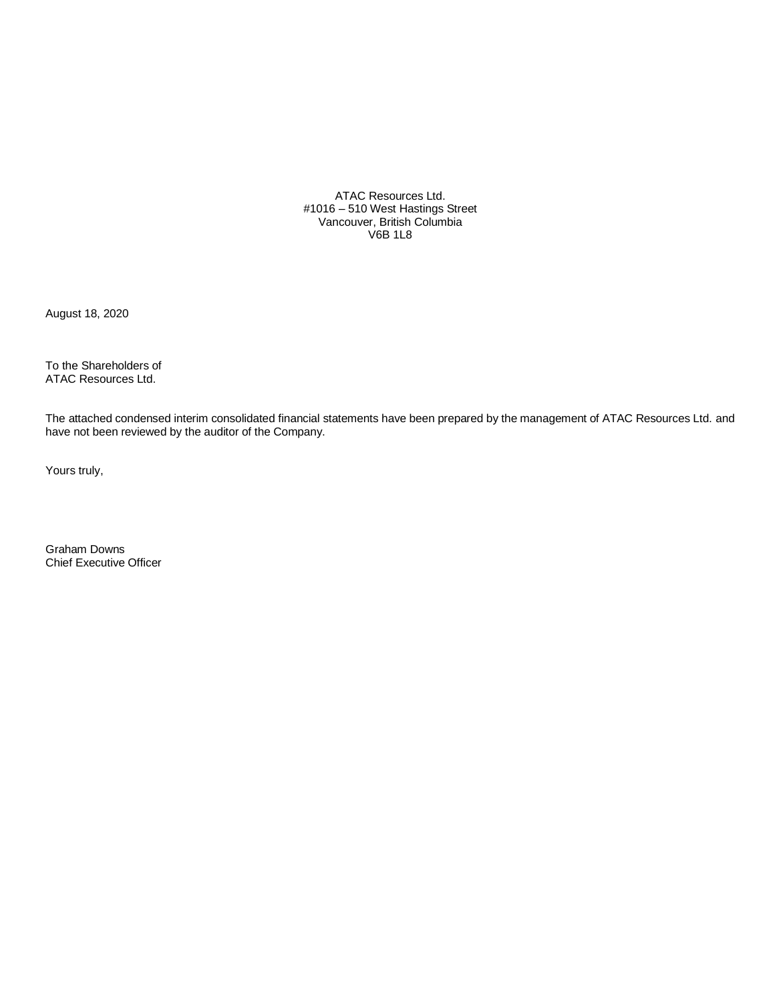ATAC Resources Ltd. #1016 – 510 West Hastings Street Vancouver, British Columbia V6B 1L8

August 18, 2020

To the Shareholders of ATAC Resources Ltd.

The attached condensed interim consolidated financial statements have been prepared by the management of ATAC Resources Ltd. and have not been reviewed by the auditor of the Company.

Yours truly,

Graham Downs Chief Executive Officer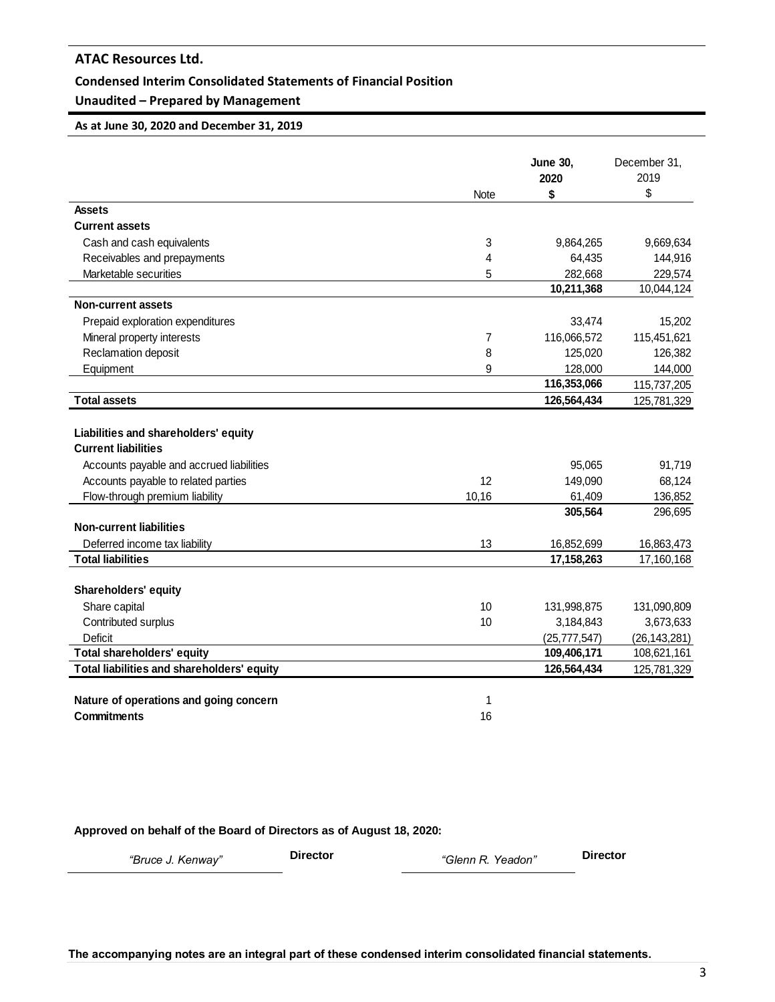### **Condensed Interim Consolidated Statements of Financial Position**

# **Unaudited – Prepared by Management**

**As at June 30, 2020 and December 31, 2019**

|                                            |       | <b>June 30,</b><br>2020 | December 31,<br>2019 |
|--------------------------------------------|-------|-------------------------|----------------------|
|                                            | Note  | \$                      | \$                   |
| Assets                                     |       |                         |                      |
| <b>Current assets</b>                      |       |                         |                      |
| Cash and cash equivalents                  | 3     | 9,864,265               | 9,669,634            |
| Receivables and prepayments                | 4     | 64,435                  | 144,916              |
| Marketable securities                      | 5     | 282,668                 | 229,574              |
|                                            |       | 10,211,368              | 10,044,124           |
| <b>Non-current assets</b>                  |       |                         |                      |
| Prepaid exploration expenditures           |       | 33,474                  | 15,202               |
| Mineral property interests                 | 7     | 116,066,572             | 115,451,621          |
| Reclamation deposit                        | 8     | 125,020                 | 126,382              |
| Equipment                                  | 9     | 128,000                 | 144,000              |
|                                            |       | 116,353,066             | 115,737,205          |
| <b>Total assets</b>                        |       | 126,564,434             | 125,781,329          |
|                                            |       |                         |                      |
| Liabilities and shareholders' equity       |       |                         |                      |
| <b>Current liabilities</b>                 |       |                         |                      |
| Accounts payable and accrued liabilities   |       | 95,065                  | 91,719               |
| Accounts payable to related parties        | 12    | 149,090                 | 68,124               |
| Flow-through premium liability             | 10,16 | 61,409                  | 136,852              |
|                                            |       | 305,564                 | 296,695              |
| <b>Non-current liabilities</b>             |       |                         |                      |
| Deferred income tax liability              | 13    | 16,852,699              | 16,863,473           |
| <b>Total liabilities</b>                   |       | 17,158,263              | 17,160,168           |
|                                            |       |                         |                      |
| Shareholders' equity                       |       |                         |                      |
| Share capital                              | 10    | 131,998,875             | 131,090,809          |
| Contributed surplus                        | 10    | 3,184,843               | 3,673,633            |
| Deficit                                    |       | (25, 777, 547)          | (26, 143, 281)       |
| <b>Total shareholders' equity</b>          |       | 109,406,171             | 108,621,161          |
| Total liabilities and shareholders' equity |       | 126,564,434             | 125,781,329          |
|                                            |       |                         |                      |
| Nature of operations and going concern     | 1     |                         |                      |
| <b>Commitments</b>                         | 16    |                         |                      |

**Approved on behalf of the Board of Directors as of August 18, 2020:**

*"Bruce J. Kenway"* **Director** *"Glenn R. Yeadon"* **Director**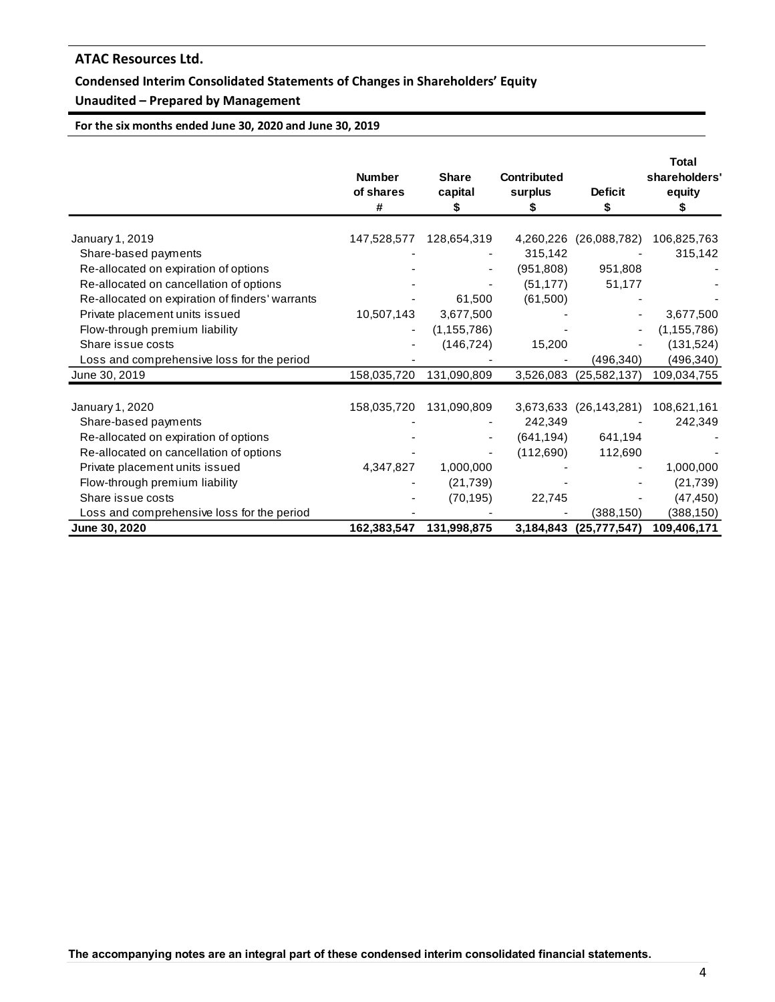# **Condensed Interim Consolidated Statements of Changes in Shareholders' Equity**

# **Unaudited – Prepared by Management**

**For the six months ended June 30, 2020 and June 30, 2019**

|                                                 | <b>Number</b><br>of shares<br># | <b>Share</b><br>capital<br>\$ | <b>Contributed</b><br>surplus<br>S | <b>Deficit</b><br>S    | <b>Total</b><br>shareholders'<br>equity<br>S |
|-------------------------------------------------|---------------------------------|-------------------------------|------------------------------------|------------------------|----------------------------------------------|
| January 1, 2019                                 | 147,528,577                     | 128,654,319                   | 4,260,226                          | (26,088,782)           | 106,825,763                                  |
| Share-based payments                            |                                 |                               | 315,142                            |                        | 315,142                                      |
| Re-allocated on expiration of options           |                                 |                               | (951, 808)                         | 951,808                |                                              |
| Re-allocated on cancellation of options         |                                 |                               | (51, 177)                          | 51,177                 |                                              |
| Re-allocated on expiration of finders' warrants |                                 | 61,500                        | (61,500)                           |                        |                                              |
| Private placement units issued                  | 10,507,143                      | 3,677,500                     |                                    |                        | 3,677,500                                    |
| Flow-through premium liability                  | -                               | (1, 155, 786)                 |                                    |                        | (1, 155, 786)                                |
| Share issue costs                               |                                 | (146, 724)                    | 15,200                             |                        | (131, 524)                                   |
| Loss and comprehensive loss for the period      |                                 |                               |                                    | (496,340)              | (496, 340)                                   |
| June 30, 2019                                   | 158,035,720                     | 131,090,809                   |                                    | 3,526,083 (25,582,137) | 109,034,755                                  |
| January 1, 2020                                 | 158,035,720                     | 131,090,809                   | 3,673,633                          | (26, 143, 281)         | 108,621,161                                  |
| Share-based payments                            |                                 |                               | 242,349                            |                        | 242,349                                      |
| Re-allocated on expiration of options           |                                 |                               | (641, 194)                         | 641,194                |                                              |
| Re-allocated on cancellation of options         |                                 |                               | (112,690)                          | 112,690                |                                              |
| Private placement units issued                  | 4,347,827                       | 1,000,000                     |                                    |                        | 1,000,000                                    |
| Flow-through premium liability                  |                                 | (21, 739)                     |                                    |                        | (21, 739)                                    |
| Share issue costs                               |                                 | (70, 195)                     | 22,745                             |                        | (47, 450)                                    |
| Loss and comprehensive loss for the period      |                                 |                               |                                    | (388,150)              | (388, 150)                                   |
| June 30, 2020                                   | 162,383,547                     | 131.998.875                   | 3,184,843                          | (25, 777, 547)         | 109,406,171                                  |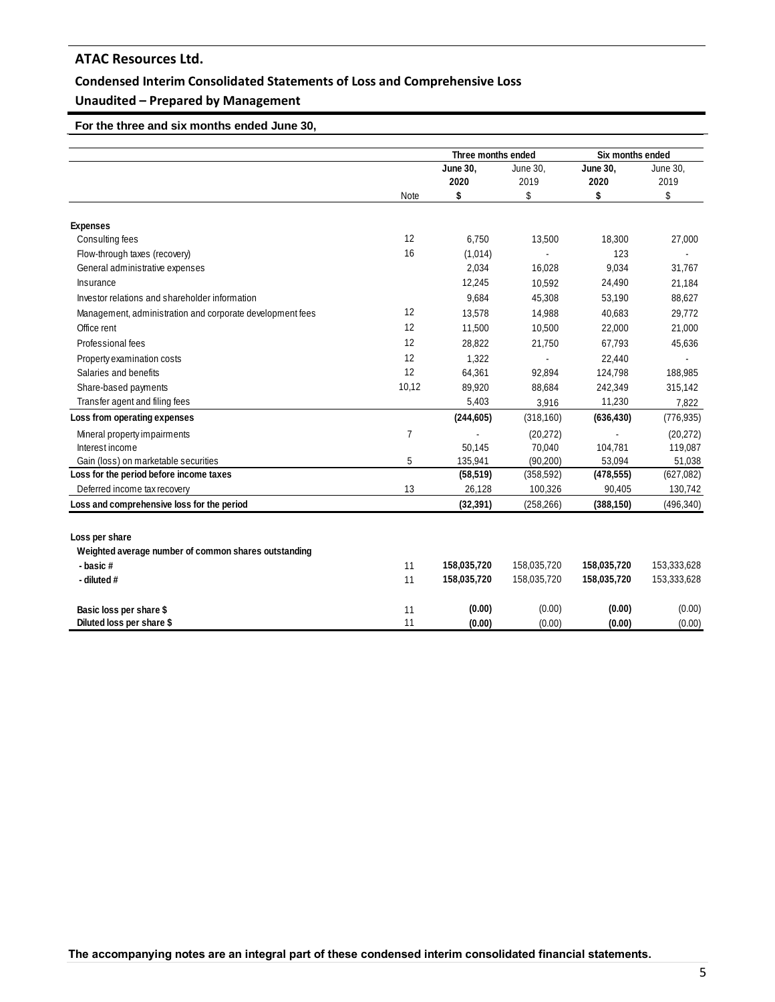## **Condensed Interim Consolidated Statements of Loss and Comprehensive Loss**

# **Unaudited – Prepared by Management**

 **For the three and six months ended June 30,** 

|                                                           |       | Three months ended |             | Six months ended |             |
|-----------------------------------------------------------|-------|--------------------|-------------|------------------|-------------|
|                                                           |       | June 30,           | June 30,    | June 30,         | June 30,    |
|                                                           |       | 2020               | 2019        | 2020             | 2019        |
|                                                           | Note  | \$                 | \$          | \$               | \$          |
| <b>Expenses</b>                                           |       |                    |             |                  |             |
| Consulting fees                                           | 12    | 6.750              | 13,500      | 18,300           | 27,000      |
| Flow-through taxes (recovery)                             | 16    | (1,014)            |             | 123              |             |
| General administrative expenses                           |       | 2,034              | 16,028      | 9,034            | 31,767      |
| Insurance                                                 |       | 12,245             | 10,592      | 24,490           | 21,184      |
| Investor relations and shareholder information            |       | 9,684              | 45,308      | 53,190           | 88,627      |
| Management, administration and corporate development fees | 12    | 13,578             | 14,988      | 40,683           | 29,772      |
| Office rent                                               | 12    | 11,500             | 10,500      | 22,000           | 21,000      |
| Professional fees                                         | 12    | 28,822             | 21,750      | 67,793           | 45,636      |
| Property examination costs                                | 12    | 1,322              |             | 22,440           |             |
| Salaries and benefits                                     | 12    | 64,361             | 92,894      | 124,798          | 188,985     |
| Share-based payments                                      | 10,12 | 89,920             | 88,684      | 242,349          | 315,142     |
| Transfer agent and filing fees                            |       | 5,403              | 3,916       | 11,230           | 7,822       |
| Loss from operating expenses                              |       | (244, 605)         | (318, 160)  | (636, 430)       | (776, 935)  |
| Mineral property impairments                              | 7     |                    | (20, 272)   |                  | (20, 272)   |
| Interest income                                           |       | 50,145             | 70,040      | 104,781          | 119,087     |
| Gain (loss) on marketable securities                      | 5     | 135,941            | (90, 200)   | 53,094           | 51,038      |
| Loss for the period before income taxes                   |       | (58, 519)          | (358, 592)  | (478, 555)       | (627, 082)  |
| Deferred income tax recovery                              | 13    | 26,128             | 100,326     | 90,405           | 130,742     |
| Loss and comprehensive loss for the period                |       | (32, 391)          | (258, 266)  | (388, 150)       | (496, 340)  |
| Loss per share                                            |       |                    |             |                  |             |
| Weighted average number of common shares outstanding      |       |                    |             |                  |             |
| - basic#                                                  | 11    | 158,035,720        | 158,035,720 | 158,035,720      | 153,333,628 |
| - diluted #                                               | 11    | 158,035,720        | 158,035,720 | 158,035,720      | 153,333,628 |
|                                                           |       |                    |             |                  |             |
| Basic loss per share \$                                   | 11    | (0.00)             | (0.00)      | (0.00)           | (0.00)      |
| Diluted loss per share \$                                 | 11    | (0.00)             | (0.00)      | (0.00)           | (0.00)      |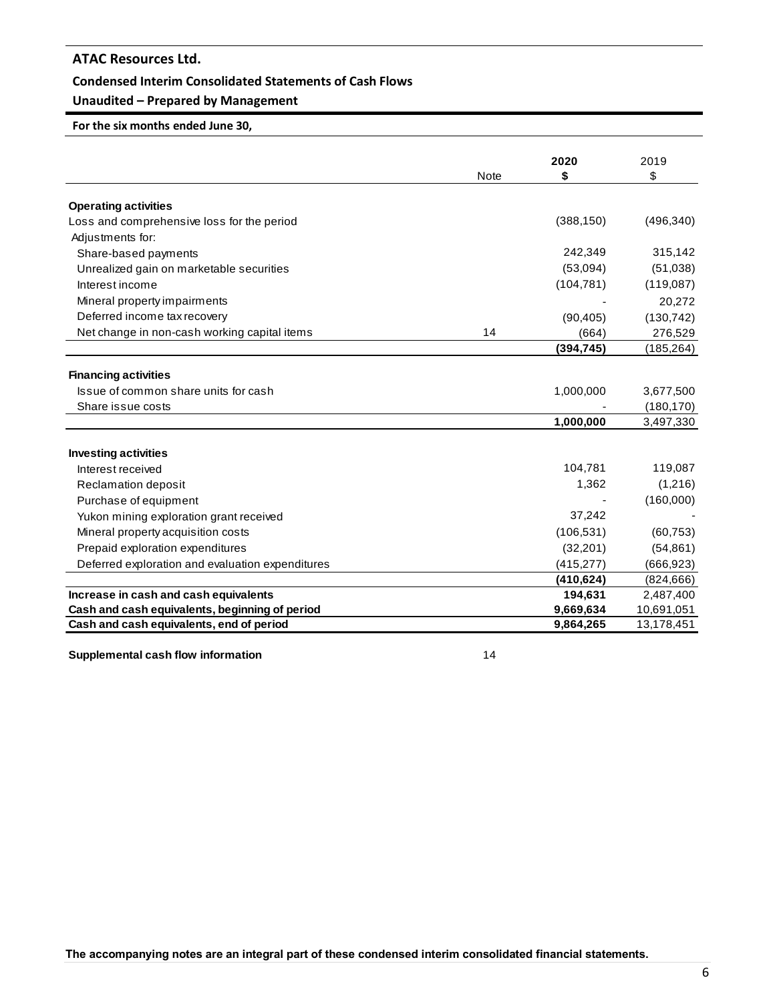### **Condensed Interim Consolidated Statements of Cash Flows**

# **Unaudited – Prepared by Management**

# **For the six months ended June 30,**

|                                                  |             | 2020       | 2019       |
|--------------------------------------------------|-------------|------------|------------|
|                                                  | <b>Note</b> | \$         | \$         |
| <b>Operating activities</b>                      |             |            |            |
| Loss and comprehensive loss for the period       |             | (388, 150) | (496, 340) |
| Adjustments for:                                 |             |            |            |
| Share-based payments                             |             | 242,349    | 315,142    |
| Unrealized gain on marketable securities         |             | (53,094)   | (51,038)   |
| Interest income                                  |             | (104, 781) | (119,087)  |
| Mineral property impairments                     |             |            | 20,272     |
| Deferred income tax recovery                     |             | (90, 405)  | (130, 742) |
| Net change in non-cash working capital items     | 14          | (664)      | 276,529    |
|                                                  |             | (394, 745) | (185, 264) |
|                                                  |             |            |            |
| <b>Financing activities</b>                      |             |            |            |
| Issue of common share units for cash             |             | 1,000,000  | 3,677,500  |
| Share issue costs                                |             |            | (180, 170) |
|                                                  |             | 1,000,000  | 3,497,330  |
|                                                  |             |            |            |
| <b>Investing activities</b>                      |             |            |            |
| Interest received                                |             | 104,781    | 119,087    |
| Reclamation deposit                              |             | 1,362      | (1,216)    |
| Purchase of equipment                            |             |            | (160,000)  |
| Yukon mining exploration grant received          |             | 37,242     |            |
| Mineral property acquisition costs               |             | (106, 531) | (60, 753)  |
| Prepaid exploration expenditures                 |             | (32, 201)  | (54, 861)  |
| Deferred exploration and evaluation expenditures |             | (415, 277) | (666, 923) |
|                                                  |             | (410, 624) | (824, 666) |
| Increase in cash and cash equivalents            |             | 194,631    | 2,487,400  |
| Cash and cash equivalents, beginning of period   |             | 9,669,634  | 10,691,051 |
| Cash and cash equivalents, end of period         |             | 9,864,265  | 13,178,451 |
| Supplemental cash flow information               | 14          |            |            |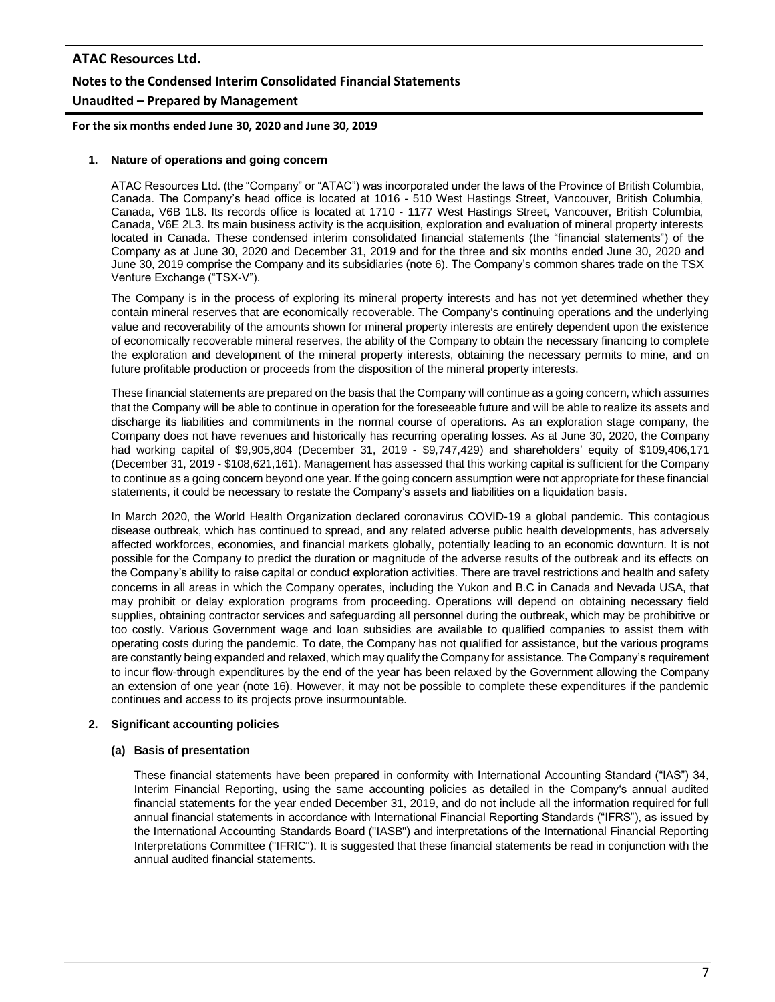# **ATAC Resources Ltd. Notes to the Condensed Interim Consolidated Financial Statements Unaudited – Prepared by Management**

**For the six months ended June 30, 2020 and June 30, 2019**

#### **1. Nature of operations and going concern**

ATAC Resources Ltd. (the "Company" or "ATAC") was incorporated under the laws of the Province of British Columbia, Canada. The Company's head office is located at 1016 - 510 West Hastings Street, Vancouver, British Columbia, Canada, V6B 1L8. Its records office is located at 1710 - 1177 West Hastings Street, Vancouver, British Columbia, Canada, V6E 2L3. Its main business activity is the acquisition, exploration and evaluation of mineral property interests located in Canada. These condensed interim consolidated financial statements (the "financial statements") of the Company as at June 30, 2020 and December 31, 2019 and for the three and six months ended June 30, 2020 and June 30, 2019 comprise the Company and its subsidiaries (note 6). The Company's common shares trade on the TSX Venture Exchange ("TSX-V").

The Company is in the process of exploring its mineral property interests and has not yet determined whether they contain mineral reserves that are economically recoverable. The Company's continuing operations and the underlying value and recoverability of the amounts shown for mineral property interests are entirely dependent upon the existence of economically recoverable mineral reserves, the ability of the Company to obtain the necessary financing to complete the exploration and development of the mineral property interests, obtaining the necessary permits to mine, and on future profitable production or proceeds from the disposition of the mineral property interests.

These financial statements are prepared on the basis that the Company will continue as a going concern, which assumes that the Company will be able to continue in operation for the foreseeable future and will be able to realize its assets and discharge its liabilities and commitments in the normal course of operations. As an exploration stage company, the Company does not have revenues and historically has recurring operating losses. As at June 30, 2020, the Company had working capital of \$9,905,804 (December 31, 2019 - \$9,747,429) and shareholders' equity of \$109,406,171 (December 31, 2019 - \$108,621,161). Management has assessed that this working capital is sufficient for the Company to continue as a going concern beyond one year. If the going concern assumption were not appropriate for these financial statements, it could be necessary to restate the Company's assets and liabilities on a liquidation basis.

In March 2020, the World Health Organization declared coronavirus COVID-19 a global pandemic. This contagious disease outbreak, which has continued to spread, and any related adverse public health developments, has adversely affected workforces, economies, and financial markets globally, potentially leading to an economic downturn. It is not possible for the Company to predict the duration or magnitude of the adverse results of the outbreak and its effects on the Company's ability to raise capital or conduct exploration activities. There are travel restrictions and health and safety concerns in all areas in which the Company operates, including the Yukon and B.C in Canada and Nevada USA, that may prohibit or delay exploration programs from proceeding. Operations will depend on obtaining necessary field supplies, obtaining contractor services and safeguarding all personnel during the outbreak, which may be prohibitive or too costly. Various Government wage and loan subsidies are available to qualified companies to assist them with operating costs during the pandemic. To date, the Company has not qualified for assistance, but the various programs are constantly being expanded and relaxed, which may qualify the Company for assistance. The Company's requirement to incur flow-through expenditures by the end of the year has been relaxed by the Government allowing the Company an extension of one year (note 16). However, it may not be possible to complete these expenditures if the pandemic continues and access to its projects prove insurmountable.

### **2. Significant accounting policies**

#### **(a) Basis of presentation**

These financial statements have been prepared in conformity with International Accounting Standard ("IAS") 34, Interim Financial Reporting, using the same accounting policies as detailed in the Company's annual audited financial statements for the year ended December 31, 2019, and do not include all the information required for full annual financial statements in accordance with International Financial Reporting Standards ("IFRS"), as issued by the International Accounting Standards Board ("IASB") and interpretations of the International Financial Reporting Interpretations Committee ("IFRIC"). It is suggested that these financial statements be read in conjunction with the annual audited financial statements.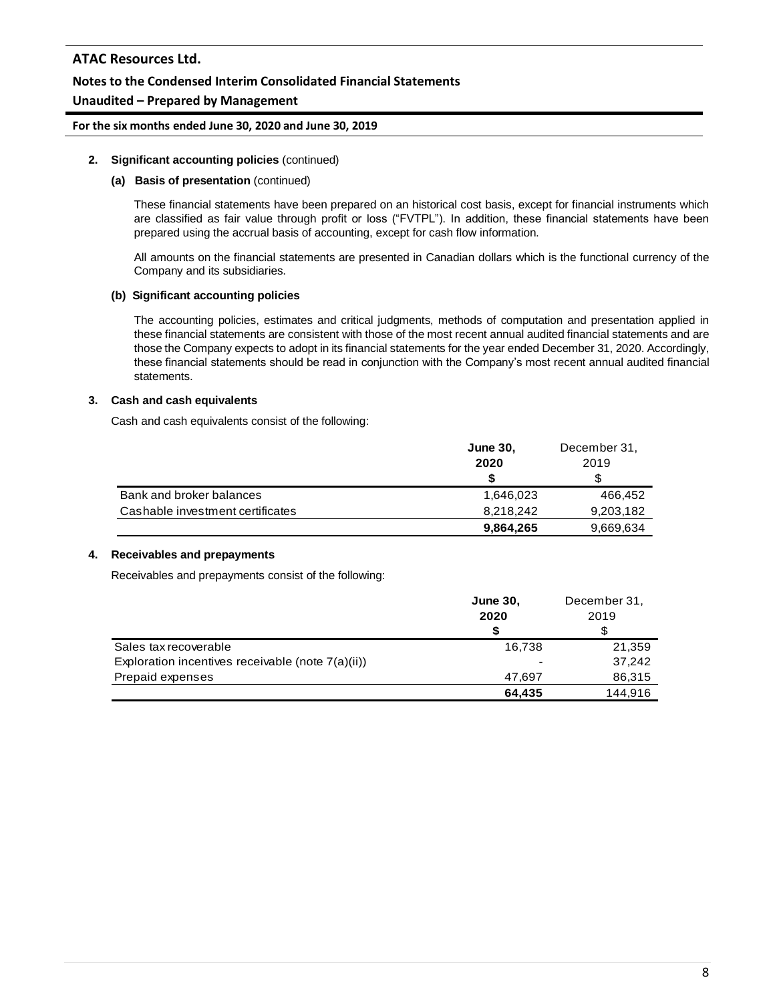# **Notes to the Condensed Interim Consolidated Financial Statements**

# **Unaudited – Prepared by Management**

#### **For the six months ended June 30, 2020 and June 30, 2019**

#### **2. Significant accounting policies** (continued)

#### **(a) Basis of presentation** (continued)

These financial statements have been prepared on an historical cost basis, except for financial instruments which are classified as fair value through profit or loss ("FVTPL"). In addition, these financial statements have been prepared using the accrual basis of accounting, except for cash flow information.

All amounts on the financial statements are presented in Canadian dollars which is the functional currency of the Company and its subsidiaries.

#### **(b) Significant accounting policies**

The accounting policies, estimates and critical judgments, methods of computation and presentation applied in these financial statements are consistent with those of the most recent annual audited financial statements and are those the Company expects to adopt in its financial statements for the year ended December 31, 2020. Accordingly, these financial statements should be read in conjunction with the Company's most recent annual audited financial statements.

#### **3. Cash and cash equivalents**

Cash and cash equivalents consist of the following:

|                                  | <b>June 30,</b> | December 31, |
|----------------------------------|-----------------|--------------|
|                                  | 2020            | 2019         |
|                                  | S               |              |
| Bank and broker balances         | 1,646,023       | 466.452      |
| Cashable investment certificates | 8,218,242       | 9,203,182    |
|                                  | 9,864,265       | 9,669,634    |

### **4. Receivables and prepayments**

Receivables and prepayments consist of the following:

|                                                   | <b>June 30.</b> | December 31, |
|---------------------------------------------------|-----------------|--------------|
|                                                   | 2020            | 2019         |
|                                                   |                 |              |
| Sales tax recoverable                             | 16,738          | 21,359       |
| Exploration incentives receivable (note 7(a)(ii)) |                 | 37,242       |
| Prepaid expenses                                  | 47.697          | 86,315       |
|                                                   | 64.435          | 144,916      |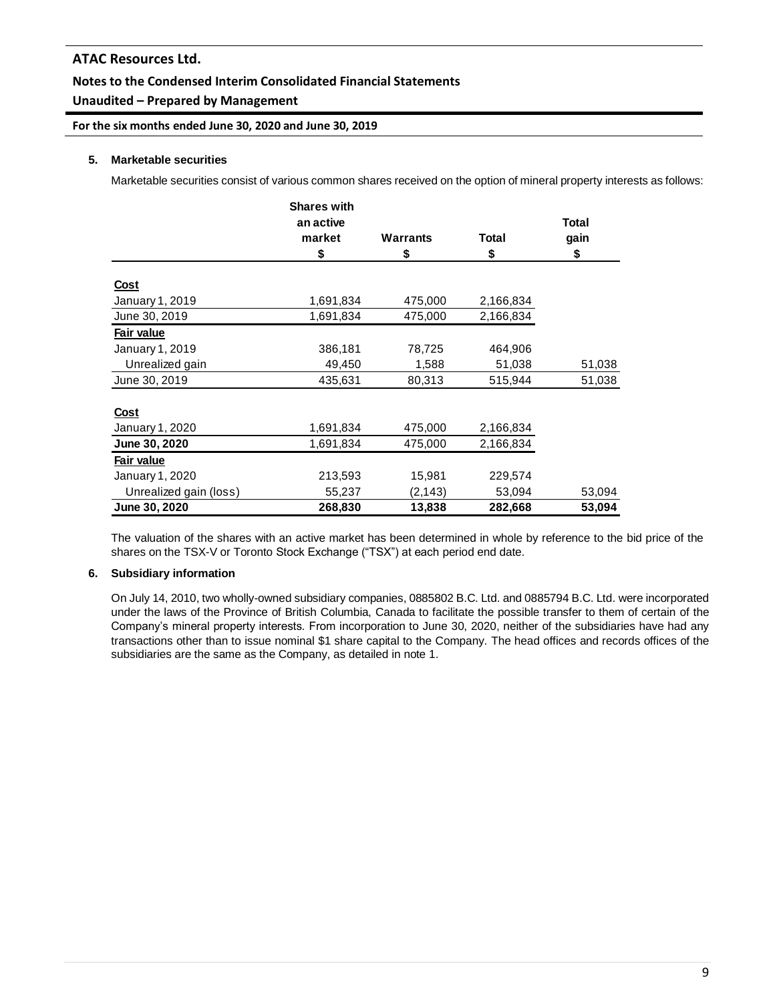# **Notes to the Condensed Interim Consolidated Financial Statements**

# **Unaudited – Prepared by Management**

**For the six months ended June 30, 2020 and June 30, 2019**

### **5. Marketable securities**

Marketable securities consist of various common shares received on the option of mineral property interests as follows:

|                        | <b>Shares with</b> |          |           |        |
|------------------------|--------------------|----------|-----------|--------|
|                        | an active          |          |           | Total  |
|                        | market             | Warrants | Total     | gain   |
|                        | \$                 | \$       | \$        | \$     |
| <u>Cost</u>            |                    |          |           |        |
| January 1, 2019        | 1,691,834          | 475,000  | 2,166,834 |        |
| June 30, 2019          | 1,691,834          | 475,000  | 2,166,834 |        |
| Fair value             |                    |          |           |        |
| January 1, 2019        | 386,181            | 78,725   | 464,906   |        |
| Unrealized gain        | 49,450             | 1,588    | 51,038    | 51,038 |
| June 30, 2019          | 435,631            | 80,313   | 515,944   | 51,038 |
|                        |                    |          |           |        |
| <u>Cost</u>            |                    |          |           |        |
| January 1, 2020        | 1,691,834          | 475,000  | 2,166,834 |        |
| June 30, 2020          | 1,691,834          | 475,000  | 2,166,834 |        |
| Fair value             |                    |          |           |        |
| January 1, 2020        | 213,593            | 15,981   | 229,574   |        |
| Unrealized gain (loss) | 55,237             | (2, 143) | 53,094    | 53,094 |
| June 30, 2020          | 268,830            | 13,838   | 282,668   | 53,094 |

The valuation of the shares with an active market has been determined in whole by reference to the bid price of the shares on the TSX-V or Toronto Stock Exchange ("TSX") at each period end date.

### **6. Subsidiary information**

On July 14, 2010, two wholly-owned subsidiary companies, 0885802 B.C. Ltd. and 0885794 B.C. Ltd. were incorporated under the laws of the Province of British Columbia, Canada to facilitate the possible transfer to them of certain of the Company's mineral property interests. From incorporation to June 30, 2020, neither of the subsidiaries have had any transactions other than to issue nominal \$1 share capital to the Company. The head offices and records offices of the subsidiaries are the same as the Company, as detailed in note 1.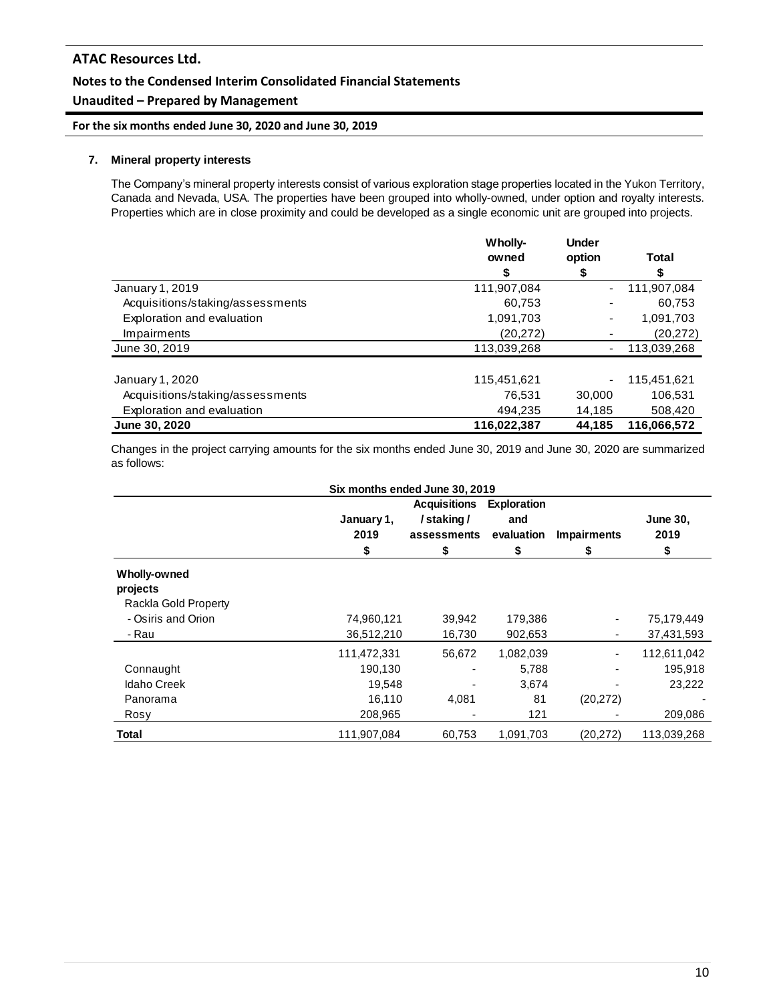# **Notes to the Condensed Interim Consolidated Financial Statements**

# **Unaudited – Prepared by Management**

**For the six months ended June 30, 2020 and June 30, 2019**

### **7. Mineral property interests**

The Company's mineral property interests consist of various exploration stage properties located in the Yukon Territory, Canada and Nevada, USA. The properties have been grouped into wholly-owned, under option and royalty interests. Properties which are in close proximity and could be developed as a single economic unit are grouped into projects.

|                                  | Wholly-     | <b>Under</b> |             |
|----------------------------------|-------------|--------------|-------------|
|                                  | owned       | option       | Total       |
|                                  | \$          | \$           |             |
| January 1, 2019                  | 111,907,084 |              | 111,907,084 |
| Acquisitions/staking/assessments | 60,753      |              | 60,753      |
| Exploration and evaluation       | 1,091,703   | ۰            | 1,091,703   |
| Impairments                      | (20, 272)   |              | (20, 272)   |
| June 30, 2019                    | 113,039,268 | ٠            | 113,039,268 |
| January 1, 2020                  | 115,451,621 | ۰            | 115,451,621 |
| Acquisitions/staking/assessments | 76.531      | 30,000       | 106,531     |
| Exploration and evaluation       | 494.235     | 14,185       | 508,420     |
| June 30, 2020                    | 116,022,387 | 44,185       | 116,066,572 |

Changes in the project carrying amounts for the six months ended June 30, 2019 and June 30, 2020 are summarized as follows:

| Six months ended June 30, 2019                          |                                                       |                                                       |                                               |                         |                                             |
|---------------------------------------------------------|-------------------------------------------------------|-------------------------------------------------------|-----------------------------------------------|-------------------------|---------------------------------------------|
|                                                         | January 1,<br>2019<br>\$                              | <b>Acquisitions</b><br>/staking/<br>assessments<br>\$ | <b>Exploration</b><br>and<br>evaluation<br>\$ | <b>Impairments</b><br>5 | <b>June 30,</b><br>2019<br>\$               |
| <b>Wholly-owned</b><br>projects<br>Rackla Gold Property |                                                       |                                                       |                                               |                         |                                             |
| - Osiris and Orion<br>- Rau                             | 74,960,121<br>36,512,210                              | 39,942<br>16,730                                      | 179,386<br>902,653                            |                         | 75,179,449<br>37,431,593                    |
| Connaught<br><b>Idaho Creek</b><br>Panorama<br>Rosy     | 111,472,331<br>190,130<br>19,548<br>16,110<br>208,965 | 56,672<br>4,081                                       | 1,082,039<br>5,788<br>3,674<br>81<br>121      | (20, 272)               | 112,611,042<br>195,918<br>23,222<br>209,086 |
| Total                                                   | 111,907,084                                           | 60,753                                                | 1,091,703                                     | (20, 272)               | 113,039,268                                 |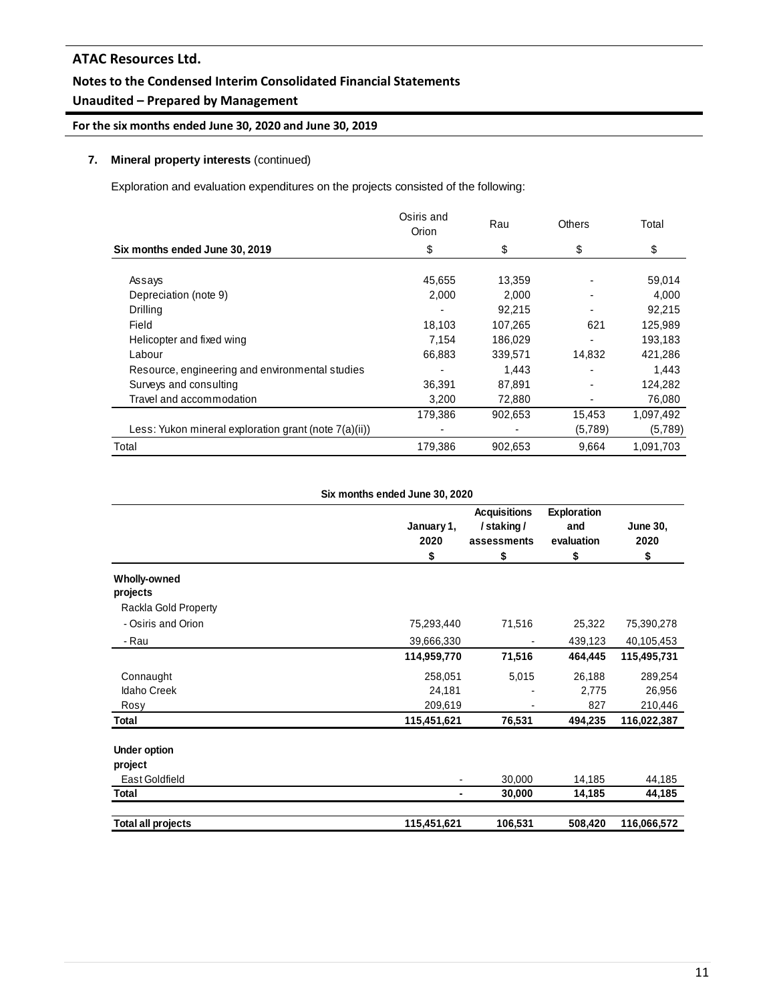# **Notes to the Condensed Interim Consolidated Financial Statements**

# **Unaudited – Prepared by Management**

# **For the six months ended June 30, 2020 and June 30, 2019**

### **7. Mineral property interests** (continued)

Exploration and evaluation expenditures on the projects consisted of the following:

|                                                       | Osiris and<br>Orion | Rau     | <b>Others</b> | Total     |
|-------------------------------------------------------|---------------------|---------|---------------|-----------|
| Six months ended June 30, 2019                        | \$                  | \$      | \$            | \$        |
|                                                       |                     |         |               |           |
| Assays                                                | 45,655              | 13,359  |               | 59,014    |
| Depreciation (note 9)                                 | 2.000               | 2.000   |               | 4.000     |
| Drilling                                              |                     | 92,215  |               | 92,215    |
| Field                                                 | 18,103              | 107,265 | 621           | 125,989   |
| Helicopter and fixed wing                             | 7.154               | 186,029 |               | 193,183   |
| Labour                                                | 66,883              | 339,571 | 14,832        | 421,286   |
| Resource, engineering and environmental studies       |                     | 1.443   |               | 1,443     |
| Surveys and consulting                                | 36,391              | 87,891  |               | 124,282   |
| Travel and accommodation                              | 3,200               | 72,880  |               | 76,080    |
|                                                       | 179,386             | 902,653 | 15,453        | 1,097,492 |
| Less: Yukon mineral exploration grant (note 7(a)(ii)) |                     | ٠       | (5,789)       | (5,789)   |
| Total                                                 | 179,386             | 902,653 | 9,664         | 1,091,703 |

**Six months ended June 30, 2020**

|                           | January 1,<br>2020<br>\$ | <b>Acquisitions</b><br>/staking/<br>assessments<br>\$ | <b>Exploration</b><br>and<br>evaluation<br>\$ | June 30,<br>2020<br>\$ |
|---------------------------|--------------------------|-------------------------------------------------------|-----------------------------------------------|------------------------|
| Wholly-owned              |                          |                                                       |                                               |                        |
| projects                  |                          |                                                       |                                               |                        |
| Rackla Gold Property      |                          |                                                       |                                               |                        |
| - Osiris and Orion        | 75,293,440               | 71,516                                                | 25,322                                        | 75,390,278             |
| - Rau                     | 39,666,330               |                                                       | 439,123                                       | 40,105,453             |
|                           | 114,959,770              | 71,516                                                | 464,445                                       | 115,495,731            |
| Connaught                 | 258,051                  | 5,015                                                 | 26,188                                        | 289,254                |
| <b>Idaho Creek</b>        | 24,181                   |                                                       | 2,775                                         | 26,956                 |
| Rosy                      | 209,619                  |                                                       | 827                                           | 210,446                |
| Total                     | 115,451,621              | 76,531                                                | 494,235                                       | 116,022,387            |
| <b>Under option</b>       |                          |                                                       |                                               |                        |
| project                   |                          |                                                       |                                               |                        |
| East Goldfield            |                          | 30,000                                                | 14,185                                        | 44,185                 |
| Total                     |                          | 30,000                                                | 14,185                                        | 44,185                 |
|                           |                          |                                                       |                                               |                        |
| <b>Total all projects</b> | 115,451,621              | 106,531                                               | 508,420                                       | 116,066,572            |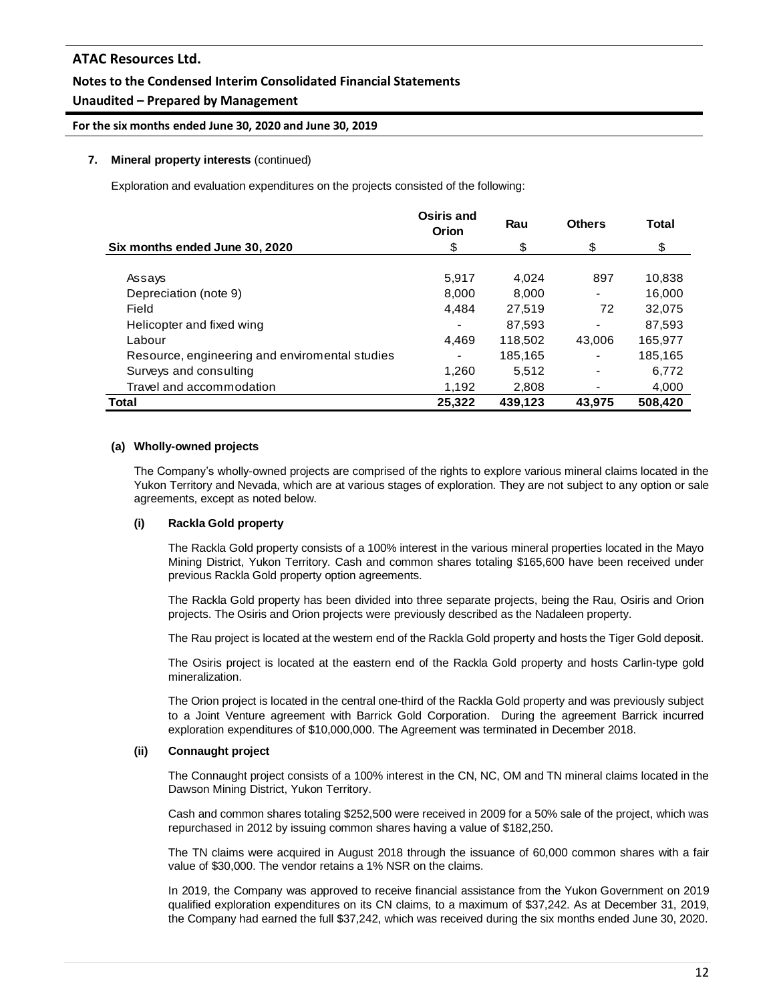## **Notes to the Condensed Interim Consolidated Financial Statements**

## **Unaudited – Prepared by Management**

### **For the six months ended June 30, 2020 and June 30, 2019**

#### **7. Mineral property interests** (continued)

Exploration and evaluation expenditures on the projects consisted of the following:

|                                                | Osiris and<br>Orion | Rau     | <b>Others</b> | Total   |
|------------------------------------------------|---------------------|---------|---------------|---------|
| Six months ended June 30, 2020                 | \$                  | \$      | \$            | \$      |
| Assays                                         | 5.917               | 4.024   | 897           | 10,838  |
| Depreciation (note 9)                          | 8.000               | 8.000   |               | 16.000  |
| Field                                          | 4,484               | 27.519  | 72            | 32,075  |
| Helicopter and fixed wing                      |                     | 87,593  |               | 87,593  |
| Labour                                         | 4,469               | 118,502 | 43,006        | 165,977 |
| Resource, engineering and enviromental studies |                     | 185,165 |               | 185,165 |
| Surveys and consulting                         | 1,260               | 5.512   |               | 6,772   |
| Travel and accommodation                       | 1,192               | 2,808   |               | 4,000   |
| Total                                          | 25,322              | 439,123 | 43.975        | 508,420 |

#### **(a) Wholly-owned projects**

The Company's wholly-owned projects are comprised of the rights to explore various mineral claims located in the Yukon Territory and Nevada, which are at various stages of exploration. They are not subject to any option or sale agreements, except as noted below.

#### **(i) Rackla Gold property**

The Rackla Gold property consists of a 100% interest in the various mineral properties located in the Mayo Mining District, Yukon Territory. Cash and common shares totaling \$165,600 have been received under previous Rackla Gold property option agreements.

The Rackla Gold property has been divided into three separate projects, being the Rau, Osiris and Orion projects. The Osiris and Orion projects were previously described as the Nadaleen property.

The Rau project is located at the western end of the Rackla Gold property and hosts the Tiger Gold deposit.

The Osiris project is located at the eastern end of the Rackla Gold property and hosts Carlin-type gold mineralization.

The Orion project is located in the central one-third of the Rackla Gold property and was previously subject to a Joint Venture agreement with Barrick Gold Corporation. During the agreement Barrick incurred exploration expenditures of \$10,000,000. The Agreement was terminated in December 2018.

#### **(ii) Connaught project**

The Connaught project consists of a 100% interest in the CN, NC, OM and TN mineral claims located in the Dawson Mining District, Yukon Territory.

Cash and common shares totaling \$252,500 were received in 2009 for a 50% sale of the project, which was repurchased in 2012 by issuing common shares having a value of \$182,250.

The TN claims were acquired in August 2018 through the issuance of 60,000 common shares with a fair value of \$30,000. The vendor retains a 1% NSR on the claims.

In 2019, the Company was approved to receive financial assistance from the Yukon Government on 2019 qualified exploration expenditures on its CN claims, to a maximum of \$37,242. As at December 31, 2019, the Company had earned the full \$37,242, which was received during the six months ended June 30, 2020.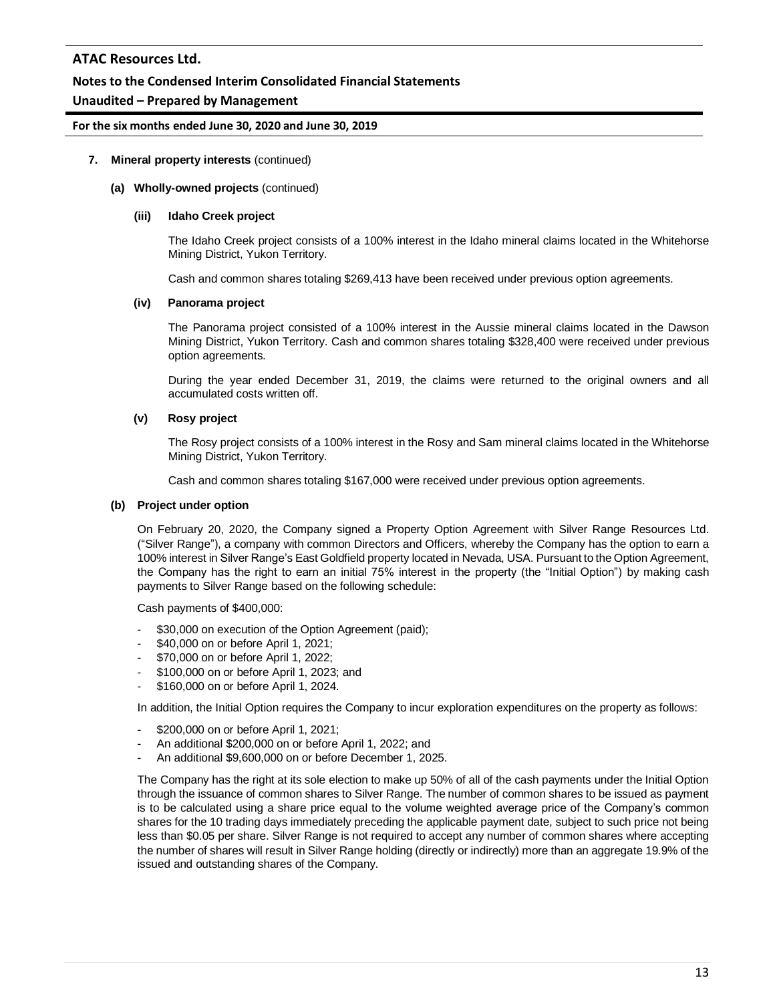### **Notes to the Condensed Interim Consolidated Financial Statements**

### **Unaudited – Prepared by Management**

#### **For the six months ended June 30, 2020 and June 30, 2019**

#### **7. Mineral property interests** (continued)

#### **(a) Wholly-owned projects** (continued)

#### **(iii) Idaho Creek project**

The Idaho Creek project consists of a 100% interest in the Idaho mineral claims located in the Whitehorse Mining District, Yukon Territory.

Cash and common shares totaling \$269,413 have been received under previous option agreements.

#### **(iv) Panorama project**

The Panorama project consisted of a 100% interest in the Aussie mineral claims located in the Dawson Mining District, Yukon Territory. Cash and common shares totaling \$328,400 were received under previous option agreements.

During the year ended December 31, 2019, the claims were returned to the original owners and all accumulated costs written off.

#### **(v) Rosy project**

The Rosy project consists of a 100% interest in the Rosy and Sam mineral claims located in the Whitehorse Mining District, Yukon Territory.

Cash and common shares totaling \$167,000 were received under previous option agreements.

#### **(b) Project under option**

On February 20, 2020, the Company signed a Property Option Agreement with Silver Range Resources Ltd. ("Silver Range"), a company with common Directors and Officers, whereby the Company has the option to earn a 100% interest in Silver Range's East Goldfield property located in Nevada, USA. Pursuant to the Option Agreement, the Company has the right to earn an initial 75% interest in the property (the "Initial Option") by making cash payments to Silver Range based on the following schedule:

Cash payments of \$400,000:

- \$30,000 on execution of the Option Agreement (paid);
- \$40,000 on or before April 1, 2021;
- \$70,000 on or before April 1, 2022;
- \$100,000 on or before April 1, 2023; and
- \$160,000 on or before April 1, 2024.

In addition, the Initial Option requires the Company to incur exploration expenditures on the property as follows:

- \$200,000 on or before April 1, 2021;
- An additional \$200,000 on or before April 1, 2022; and
- An additional \$9,600,000 on or before December 1, 2025.

The Company has the right at its sole election to make up 50% of all of the cash payments under the Initial Option through the issuance of common shares to Silver Range. The number of common shares to be issued as payment is to be calculated using a share price equal to the volume weighted average price of the Company's common shares for the 10 trading days immediately preceding the applicable payment date, subject to such price not being less than \$0.05 per share. Silver Range is not required to accept any number of common shares where accepting the number of shares will result in Silver Range holding (directly or indirectly) more than an aggregate 19.9% of the issued and outstanding shares of the Company.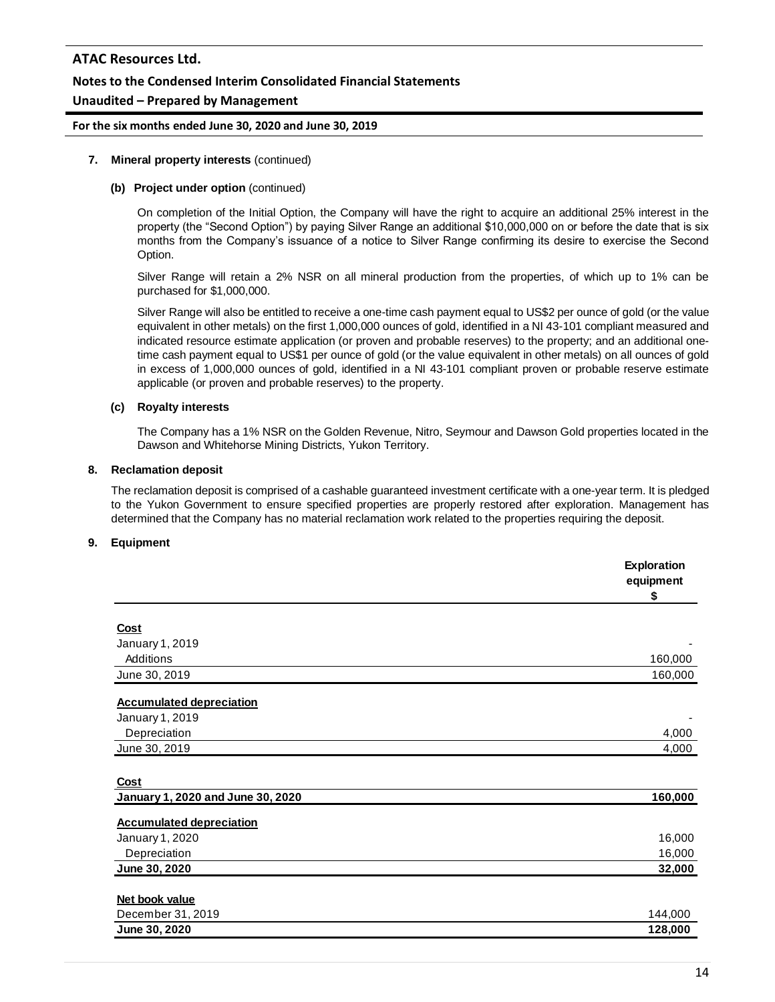## **Notes to the Condensed Interim Consolidated Financial Statements**

### **Unaudited – Prepared by Management**

#### **For the six months ended June 30, 2020 and June 30, 2019**

#### **7. Mineral property interests** (continued)

### **(b) Project under option** (continued)

On completion of the Initial Option, the Company will have the right to acquire an additional 25% interest in the property (the "Second Option") by paying Silver Range an additional \$10,000,000 on or before the date that is six months from the Company's issuance of a notice to Silver Range confirming its desire to exercise the Second Option.

Silver Range will retain a 2% NSR on all mineral production from the properties, of which up to 1% can be purchased for \$1,000,000.

Silver Range will also be entitled to receive a one-time cash payment equal to US\$2 per ounce of gold (or the value equivalent in other metals) on the first 1,000,000 ounces of gold, identified in a NI 43-101 compliant measured and indicated resource estimate application (or proven and probable reserves) to the property; and an additional onetime cash payment equal to US\$1 per ounce of gold (or the value equivalent in other metals) on all ounces of gold in excess of 1,000,000 ounces of gold, identified in a NI 43-101 compliant proven or probable reserve estimate applicable (or proven and probable reserves) to the property.

### **(c) Royalty interests**

The Company has a 1% NSR on the Golden Revenue, Nitro, Seymour and Dawson Gold properties located in the Dawson and Whitehorse Mining Districts, Yukon Territory.

#### **8. Reclamation deposit**

The reclamation deposit is comprised of a cashable guaranteed investment certificate with a one-year term. It is pledged to the Yukon Government to ensure specified properties are properly restored after exploration. Management has determined that the Company has no material reclamation work related to the properties requiring the deposit.

#### **9. Equipment**

|                                   | <b>Exploration</b><br>equipment<br>\$ |
|-----------------------------------|---------------------------------------|
|                                   |                                       |
| Cost                              |                                       |
| January 1, 2019                   |                                       |
| Additions                         | 160,000                               |
| June 30, 2019                     | 160,000                               |
| <b>Accumulated depreciation</b>   |                                       |
| January 1, 2019                   |                                       |
| Depreciation                      | 4,000                                 |
| June 30, 2019                     | 4,000                                 |
|                                   |                                       |
| <b>Cost</b>                       |                                       |
| January 1, 2020 and June 30, 2020 | 160,000                               |
| <b>Accumulated depreciation</b>   |                                       |
| January 1, 2020                   | 16,000                                |
| Depreciation                      | 16,000                                |
| June 30, 2020                     | 32,000                                |
|                                   |                                       |
| Net book value                    |                                       |
| December 31, 2019                 | 144,000                               |
| June 30, 2020                     | 128,000                               |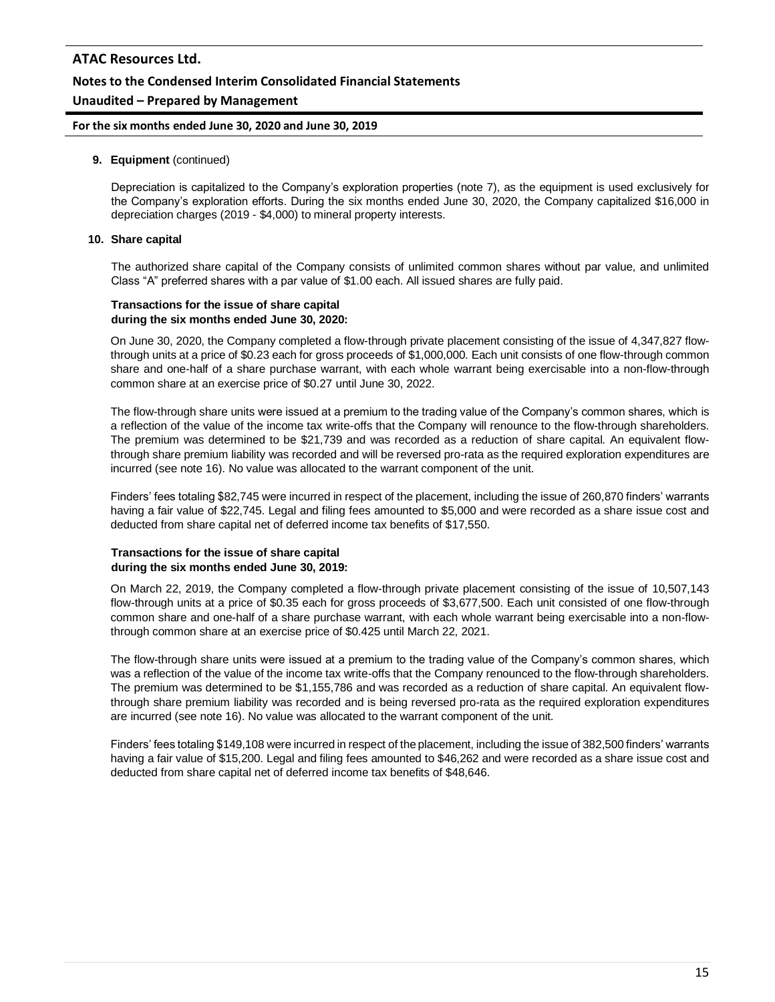### **Notes to the Condensed Interim Consolidated Financial Statements**

### **Unaudited – Prepared by Management**

#### **For the six months ended June 30, 2020 and June 30, 2019**

#### **9. Equipment** (continued)

Depreciation is capitalized to the Company's exploration properties (note 7), as the equipment is used exclusively for the Company's exploration efforts. During the six months ended June 30, 2020, the Company capitalized \$16,000 in depreciation charges (2019 - \$4,000) to mineral property interests.

#### **10. Share capital**

The authorized share capital of the Company consists of unlimited common shares without par value, and unlimited Class "A" preferred shares with a par value of \$1.00 each. All issued shares are fully paid.

#### **Transactions for the issue of share capital during the six months ended June 30, 2020:**

On June 30, 2020, the Company completed a flow-through private placement consisting of the issue of 4,347,827 flowthrough units at a price of \$0.23 each for gross proceeds of \$1,000,000. Each unit consists of one flow-through common share and one-half of a share purchase warrant, with each whole warrant being exercisable into a non-flow-through common share at an exercise price of \$0.27 until June 30, 2022.

The flow-through share units were issued at a premium to the trading value of the Company's common shares, which is a reflection of the value of the income tax write-offs that the Company will renounce to the flow-through shareholders. The premium was determined to be \$21,739 and was recorded as a reduction of share capital. An equivalent flowthrough share premium liability was recorded and will be reversed pro-rata as the required exploration expenditures are incurred (see note 16). No value was allocated to the warrant component of the unit.

Finders' fees totaling \$82,745 were incurred in respect of the placement, including the issue of 260,870 finders' warrants having a fair value of \$22,745. Legal and filing fees amounted to \$5,000 and were recorded as a share issue cost and deducted from share capital net of deferred income tax benefits of \$17,550.

#### **Transactions for the issue of share capital during the six months ended June 30, 2019:**

On March 22, 2019, the Company completed a flow-through private placement consisting of the issue of 10,507,143 flow-through units at a price of \$0.35 each for gross proceeds of \$3,677,500. Each unit consisted of one flow-through common share and one-half of a share purchase warrant, with each whole warrant being exercisable into a non-flowthrough common share at an exercise price of \$0.425 until March 22, 2021.

The flow-through share units were issued at a premium to the trading value of the Company's common shares, which was a reflection of the value of the income tax write-offs that the Company renounced to the flow-through shareholders. The premium was determined to be \$1,155,786 and was recorded as a reduction of share capital. An equivalent flowthrough share premium liability was recorded and is being reversed pro-rata as the required exploration expenditures are incurred (see note 16). No value was allocated to the warrant component of the unit.

Finders' fees totaling \$149,108 were incurred in respect of the placement, including the issue of 382,500 finders' warrants having a fair value of \$15,200. Legal and filing fees amounted to \$46,262 and were recorded as a share issue cost and deducted from share capital net of deferred income tax benefits of \$48,646.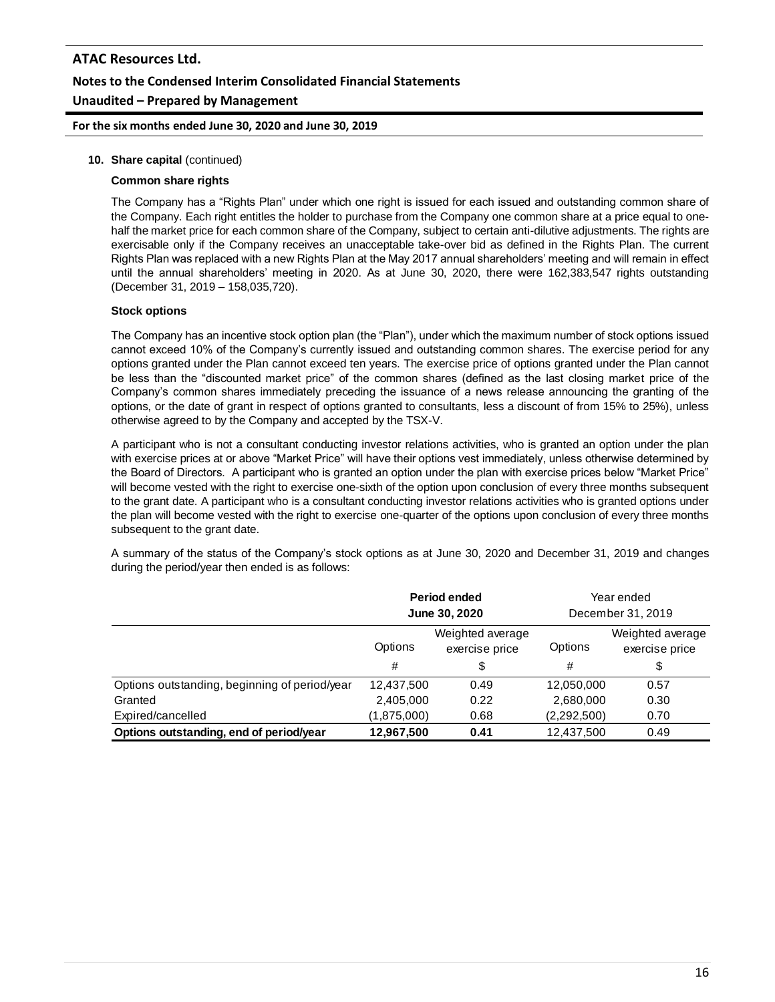**For the six months ended June 30, 2020 and June 30, 2019**

#### **10. Share capital** (continued)

#### **Common share rights**

The Company has a "Rights Plan" under which one right is issued for each issued and outstanding common share of the Company. Each right entitles the holder to purchase from the Company one common share at a price equal to onehalf the market price for each common share of the Company, subject to certain anti-dilutive adjustments. The rights are exercisable only if the Company receives an unacceptable take-over bid as defined in the Rights Plan. The current Rights Plan was replaced with a new Rights Plan at the May 2017 annual shareholders' meeting and will remain in effect until the annual shareholders' meeting in 2020. As at June 30, 2020, there were 162,383,547 rights outstanding (December 31, 2019 – 158,035,720).

#### **Stock options**

The Company has an incentive stock option plan (the "Plan"), under which the maximum number of stock options issued cannot exceed 10% of the Company's currently issued and outstanding common shares. The exercise period for any options granted under the Plan cannot exceed ten years. The exercise price of options granted under the Plan cannot be less than the "discounted market price" of the common shares (defined as the last closing market price of the Company's common shares immediately preceding the issuance of a news release announcing the granting of the options, or the date of grant in respect of options granted to consultants, less a discount of from 15% to 25%), unless otherwise agreed to by the Company and accepted by the TSX-V.

A participant who is not a consultant conducting investor relations activities, who is granted an option under the plan with exercise prices at or above "Market Price" will have their options vest immediately, unless otherwise determined by the Board of Directors. A participant who is granted an option under the plan with exercise prices below "Market Price" will become vested with the right to exercise one-sixth of the option upon conclusion of every three months subsequent to the grant date. A participant who is a consultant conducting investor relations activities who is granted options under the plan will become vested with the right to exercise one-quarter of the options upon conclusion of every three months subsequent to the grant date.

A summary of the status of the Company's stock options as at June 30, 2020 and December 31, 2019 and changes during the period/year then ended is as follows:

|                                               | Period ended<br>June 30, 2020                            |      | Year ended<br>December 31, 2019 |                                          |
|-----------------------------------------------|----------------------------------------------------------|------|---------------------------------|------------------------------------------|
|                                               | Weighted average<br>Options<br>exercise price<br>#<br>\$ |      | Options<br>#                    | Weighted average<br>exercise price<br>\$ |
| Options outstanding, beginning of period/year | 12,437,500                                               | 0.49 | 12,050,000                      | 0.57                                     |
| Granted                                       | 2,405,000                                                | 0.22 | 2,680,000                       | 0.30                                     |
| Expired/cancelled                             | (1,875,000)                                              | 0.68 | (2,292,500)                     | 0.70                                     |
| Options outstanding, end of period/year       | 12,967,500                                               | 0.41 | 12,437,500                      | 0.49                                     |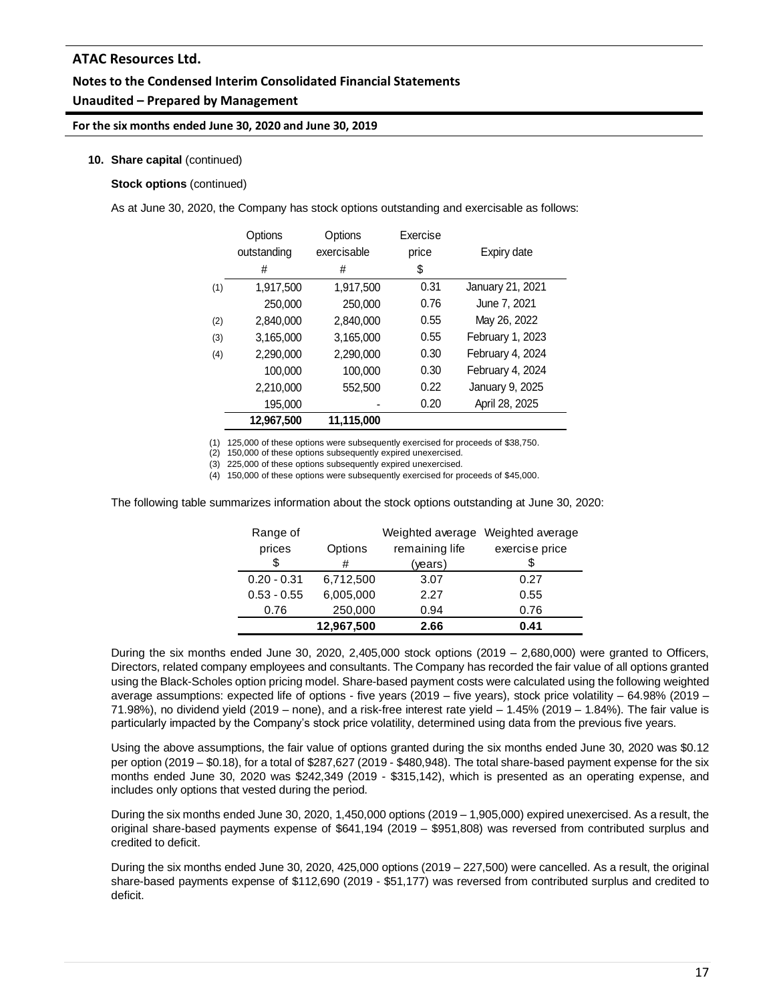# **Notes to the Condensed Interim Consolidated Financial Statements Unaudited – Prepared by Management**

#### **For the six months ended June 30, 2020 and June 30, 2019**

#### **10. Share capital** (continued)

#### **Stock options** (continued)

As at June 30, 2020, the Company has stock options outstanding and exercisable as follows:

|     | Options<br>outstanding<br># | Options<br>exercisable<br># | Exercise<br>price<br>\$ | Expiry date      |
|-----|-----------------------------|-----------------------------|-------------------------|------------------|
| (1) | 1,917,500                   | 1,917,500                   | 0.31                    | January 21, 2021 |
|     | 250,000                     | 250,000                     | 0.76                    | June 7, 2021     |
| (2) | 2,840,000                   | 2,840,000                   | 0.55                    | May 26, 2022     |
| (3) | 3,165,000                   | 3,165,000                   | 0.55                    | February 1, 2023 |
| (4) | 2.290.000                   | 2,290,000                   | 0.30                    | February 4, 2024 |
|     | 100.000                     | 100.000                     | 0.30                    | February 4, 2024 |
|     | 2.210.000                   | 552,500                     | 0.22                    | January 9, 2025  |
|     | 195,000                     |                             | 0.20                    | April 28, 2025   |
|     | 12.967.500                  | 11.115.000                  |                         |                  |

(1) 125,000 of these options were subsequently exercised for proceeds of \$38,750.

(2) 150,000 of these options subsequently expired unexercised.

(3) 225,000 of these options subsequently expired unexercised.

(4) 150,000 of these options were subsequently exercised for proceeds of \$45,000.

The following table summarizes information about the stock options outstanding at June 30, 2020:

| Range of      |            | Weighted average | Weighted average |
|---------------|------------|------------------|------------------|
| prices        | Options    | remaining life   | exercise price   |
| S             | #          | (years)          |                  |
| $0.20 - 0.31$ | 6,712,500  | 3.07             | 0.27             |
| $0.53 - 0.55$ | 6,005,000  | 2.27             | 0.55             |
| 0.76          | 250,000    | 0.94             | 0.76             |
|               | 12,967,500 | 2.66             | 0.41             |

During the six months ended June 30, 2020, 2,405,000 stock options (2019 – 2,680,000) were granted to Officers, Directors, related company employees and consultants. The Company has recorded the fair value of all options granted using the Black-Scholes option pricing model. Share-based payment costs were calculated using the following weighted average assumptions: expected life of options - five years (2019 – five years), stock price volatility – 64.98% (2019 – 71.98%), no dividend yield (2019 – none), and a risk-free interest rate yield – 1.45% (2019 – 1.84%). The fair value is particularly impacted by the Company's stock price volatility, determined using data from the previous five years.

Using the above assumptions, the fair value of options granted during the six months ended June 30, 2020 was \$0.12 per option (2019 – \$0.18), for a total of \$287,627 (2019 - \$480,948). The total share-based payment expense for the six months ended June 30, 2020 was \$242,349 (2019 - \$315,142), which is presented as an operating expense, and includes only options that vested during the period.

During the six months ended June 30, 2020, 1,450,000 options (2019 – 1,905,000) expired unexercised. As a result, the original share-based payments expense of \$641,194 (2019 – \$951,808) was reversed from contributed surplus and credited to deficit.

During the six months ended June 30, 2020, 425,000 options (2019 – 227,500) were cancelled. As a result, the original share-based payments expense of \$112,690 (2019 - \$51,177) was reversed from contributed surplus and credited to deficit.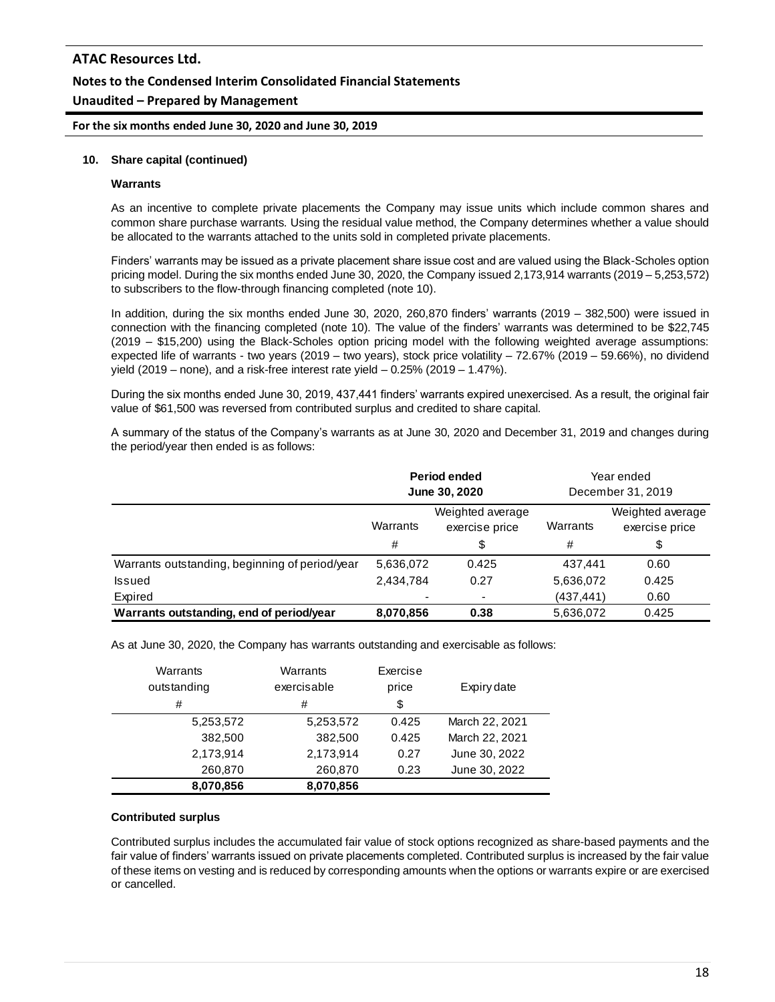**For the six months ended June 30, 2020 and June 30, 2019**

#### **10. Share capital (continued)**

#### **Warrants**

As an incentive to complete private placements the Company may issue units which include common shares and common share purchase warrants. Using the residual value method, the Company determines whether a value should be allocated to the warrants attached to the units sold in completed private placements.

Finders' warrants may be issued as a private placement share issue cost and are valued using the Black-Scholes option pricing model. During the six months ended June 30, 2020, the Company issued 2,173,914 warrants (2019 – 5,253,572) to subscribers to the flow-through financing completed (note 10).

In addition, during the six months ended June 30, 2020, 260,870 finders' warrants (2019 – 382,500) were issued in connection with the financing completed (note 10). The value of the finders' warrants was determined to be \$22,745 (2019 – \$15,200) using the Black-Scholes option pricing model with the following weighted average assumptions: expected life of warrants - two years (2019 – two years), stock price volatility – 72.67% (2019 – 59.66%), no dividend yield (2019 – none), and a risk-free interest rate yield – 0.25% (2019 – 1.47%).

During the six months ended June 30, 2019, 437,441 finders' warrants expired unexercised. As a result, the original fair value of \$61,500 was reversed from contributed surplus and credited to share capital.

A summary of the status of the Company's warrants as at June 30, 2020 and December 31, 2019 and changes during the period/year then ended is as follows:

|                                                | Period ended<br>June 30, 2020                  |                          | Year ended<br>December 31, 2019 |                                    |
|------------------------------------------------|------------------------------------------------|--------------------------|---------------------------------|------------------------------------|
|                                                | Weighted average<br>Warrants<br>exercise price |                          | Warrants                        | Weighted average<br>exercise price |
|                                                | #                                              | \$                       | #                               | \$                                 |
| Warrants outstanding, beginning of period/year | 5,636,072                                      | 0.425                    | 437.441                         | 0.60                               |
| Issued                                         | 2,434,784                                      | 0.27                     | 5,636,072                       | 0.425                              |
| Expired                                        | $\blacksquare$                                 | $\overline{\phantom{a}}$ | (437, 441)                      | 0.60                               |
| Warrants outstanding, end of period/year       | 8,070,856                                      | 0.38                     | 5,636,072                       | 0.425                              |

As at June 30, 2020, the Company has warrants outstanding and exercisable as follows:

| Warrants<br>outstanding | Warrants<br>exercisable | Exercise<br>price | Expiry date    |
|-------------------------|-------------------------|-------------------|----------------|
| #                       | #                       | \$                |                |
| 5,253,572               | 5,253,572               | 0.425             | March 22, 2021 |
| 382,500                 | 382,500                 | 0.425             | March 22, 2021 |
| 2,173,914               | 2,173,914               | 0.27              | June 30, 2022  |
| 260,870                 | 260,870                 | 0.23              | June 30, 2022  |
| 8,070,856               | 8,070,856               |                   |                |

#### **Contributed surplus**

Contributed surplus includes the accumulated fair value of stock options recognized as share-based payments and the fair value of finders' warrants issued on private placements completed. Contributed surplus is increased by the fair value of these items on vesting and is reduced by corresponding amounts when the options or warrants expire or are exercised or cancelled.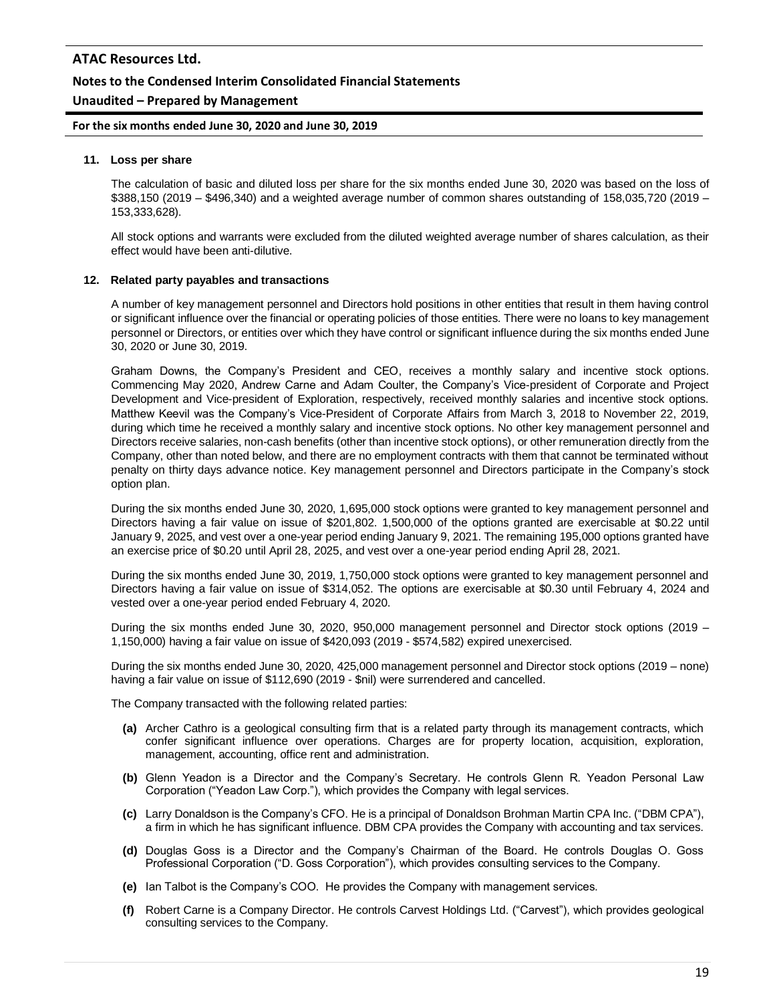### **Notes to the Condensed Interim Consolidated Financial Statements**

### **Unaudited – Prepared by Management**

**For the six months ended June 30, 2020 and June 30, 2019**

#### **11. Loss per share**

The calculation of basic and diluted loss per share for the six months ended June 30, 2020 was based on the loss of \$388,150 (2019 – \$496,340) and a weighted average number of common shares outstanding of 158,035,720 (2019 – 153,333,628).

All stock options and warrants were excluded from the diluted weighted average number of shares calculation, as their effect would have been anti-dilutive.

#### **12. Related party payables and transactions**

A number of key management personnel and Directors hold positions in other entities that result in them having control or significant influence over the financial or operating policies of those entities. There were no loans to key management personnel or Directors, or entities over which they have control or significant influence during the six months ended June 30, 2020 or June 30, 2019.

Graham Downs, the Company's President and CEO, receives a monthly salary and incentive stock options. Commencing May 2020, Andrew Carne and Adam Coulter, the Company's Vice-president of Corporate and Project Development and Vice-president of Exploration, respectively, received monthly salaries and incentive stock options. Matthew Keevil was the Company's Vice-President of Corporate Affairs from March 3, 2018 to November 22, 2019, during which time he received a monthly salary and incentive stock options. No other key management personnel and Directors receive salaries, non-cash benefits (other than incentive stock options), or other remuneration directly from the Company, other than noted below, and there are no employment contracts with them that cannot be terminated without penalty on thirty days advance notice. Key management personnel and Directors participate in the Company's stock option plan.

During the six months ended June 30, 2020, 1,695,000 stock options were granted to key management personnel and Directors having a fair value on issue of \$201,802. 1,500,000 of the options granted are exercisable at \$0.22 until January 9, 2025, and vest over a one-year period ending January 9, 2021. The remaining 195,000 options granted have an exercise price of \$0.20 until April 28, 2025, and vest over a one-year period ending April 28, 2021.

During the six months ended June 30, 2019, 1,750,000 stock options were granted to key management personnel and Directors having a fair value on issue of \$314,052. The options are exercisable at \$0.30 until February 4, 2024 and vested over a one-year period ended February 4, 2020.

During the six months ended June 30, 2020, 950,000 management personnel and Director stock options (2019 – 1,150,000) having a fair value on issue of \$420,093 (2019 - \$574,582) expired unexercised.

During the six months ended June 30, 2020, 425,000 management personnel and Director stock options (2019 – none) having a fair value on issue of \$112,690 (2019 - \$nil) were surrendered and cancelled.

The Company transacted with the following related parties:

- **(a)** Archer Cathro is a geological consulting firm that is a related party through its management contracts, which confer significant influence over operations. Charges are for property location, acquisition, exploration, management, accounting, office rent and administration.
- **(b)** Glenn Yeadon is a Director and the Company's Secretary. He controls Glenn R. Yeadon Personal Law Corporation ("Yeadon Law Corp."), which provides the Company with legal services.
- **(c)** Larry Donaldson is the Company's CFO. He is a principal of Donaldson Brohman Martin CPA Inc. ("DBM CPA"), a firm in which he has significant influence. DBM CPA provides the Company with accounting and tax services.
- **(d)** Douglas Goss is a Director and the Company's Chairman of the Board. He controls Douglas O. Goss Professional Corporation ("D. Goss Corporation"), which provides consulting services to the Company.
- **(e)** Ian Talbot is the Company's COO. He provides the Company with management services.
- **(f)** Robert Carne is a Company Director. He controls Carvest Holdings Ltd. ("Carvest"), which provides geological consulting services to the Company.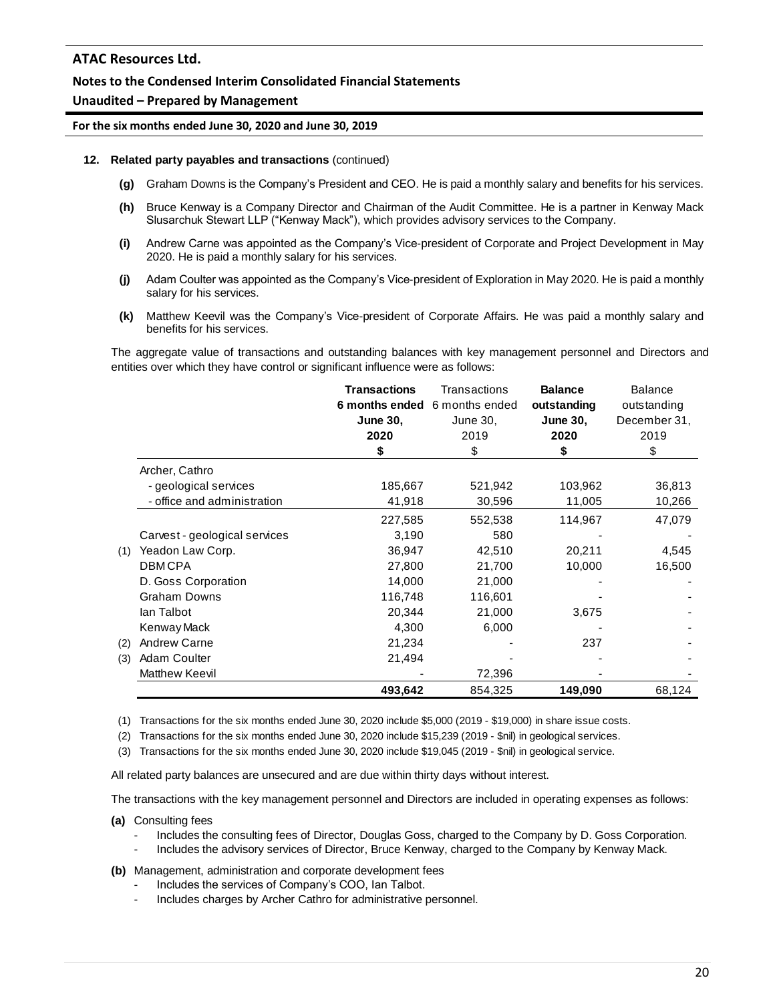### **Notes to the Condensed Interim Consolidated Financial Statements**

#### **Unaudited – Prepared by Management**

#### **For the six months ended June 30, 2020 and June 30, 2019**

#### **12. Related party payables and transactions** (continued)

- **(g)** Graham Downs is the Company's President and CEO. He is paid a monthly salary and benefits for his services.
- **(h)** Bruce Kenway is a Company Director and Chairman of the Audit Committee. He is a partner in Kenway Mack Slusarchuk Stewart LLP ("Kenway Mack"), which provides advisory services to the Company.
- **(i)** Andrew Carne was appointed as the Company's Vice-president of Corporate and Project Development in May 2020. He is paid a monthly salary for his services.
- **(j)** Adam Coulter was appointed as the Company's Vice-president of Exploration in May 2020. He is paid a monthly salary for his services.
- **(k)** Matthew Keevil was the Company's Vice-president of Corporate Affairs. He was paid a monthly salary and benefits for his services.

The aggregate value of transactions and outstanding balances with key management personnel and Directors and entities over which they have control or significant influence were as follows:

|     |                               | <b>Transactions</b><br><b>June 30,</b><br>2020<br>\$ | Transactions<br>6 months ended 6 months ended<br>June 30,<br>2019<br>\$ | <b>Balance</b><br>outstanding<br><b>June 30,</b><br>2020<br>\$ | <b>Balance</b><br>outstanding<br>December 31,<br>2019<br>\$ |
|-----|-------------------------------|------------------------------------------------------|-------------------------------------------------------------------------|----------------------------------------------------------------|-------------------------------------------------------------|
|     | Archer, Cathro                |                                                      |                                                                         |                                                                |                                                             |
|     | - geological services         | 185,667                                              | 521,942                                                                 | 103,962                                                        | 36,813                                                      |
|     | - office and administration   | 41,918                                               | 30,596                                                                  | 11,005                                                         | 10,266                                                      |
|     |                               | 227,585                                              | 552,538                                                                 | 114,967                                                        | 47,079                                                      |
|     | Carvest - geological services | 3,190                                                | 580                                                                     |                                                                |                                                             |
| (1) | Yeadon Law Corp.              | 36,947                                               | 42,510                                                                  | 20,211                                                         | 4,545                                                       |
|     | <b>DBMCPA</b>                 | 27,800                                               | 21,700                                                                  | 10,000                                                         | 16,500                                                      |
|     | D. Goss Corporation           | 14,000                                               | 21,000                                                                  |                                                                |                                                             |
|     | <b>Graham Downs</b>           | 116,748                                              | 116,601                                                                 |                                                                |                                                             |
|     | lan Talbot                    | 20,344                                               | 21,000                                                                  | 3,675                                                          |                                                             |
|     | Kenway Mack                   | 4,300                                                | 6,000                                                                   |                                                                |                                                             |
| (2) | Andrew Carne                  | 21,234                                               |                                                                         | 237                                                            |                                                             |
| (3) | Adam Coulter                  | 21,494                                               |                                                                         |                                                                |                                                             |
|     | Matthew Keevil                |                                                      | 72,396                                                                  |                                                                |                                                             |
|     |                               | 493,642                                              | 854,325                                                                 | 149,090                                                        | 68,124                                                      |

(1) Transactions for the six months ended June 30, 2020 include \$5,000 (2019 - \$19,000) in share issue costs.

(2) Transactions for the six months ended June 30, 2020 include \$15,239 (2019 - \$nil) in geological services.

(3) Transactions for the six months ended June 30, 2020 include \$19,045 (2019 - \$nil) in geological service.

All related party balances are unsecured and are due within thirty days without interest.

The transactions with the key management personnel and Directors are included in operating expenses as follows:

**(a)** Consulting fees

- Includes the consulting fees of Director, Douglas Goss, charged to the Company by D. Goss Corporation.
- Includes the advisory services of Director, Bruce Kenway, charged to the Company by Kenway Mack.

**(b)** Management, administration and corporate development fees

- Includes the services of Company's COO, Ian Talbot.
- Includes charges by Archer Cathro for administrative personnel.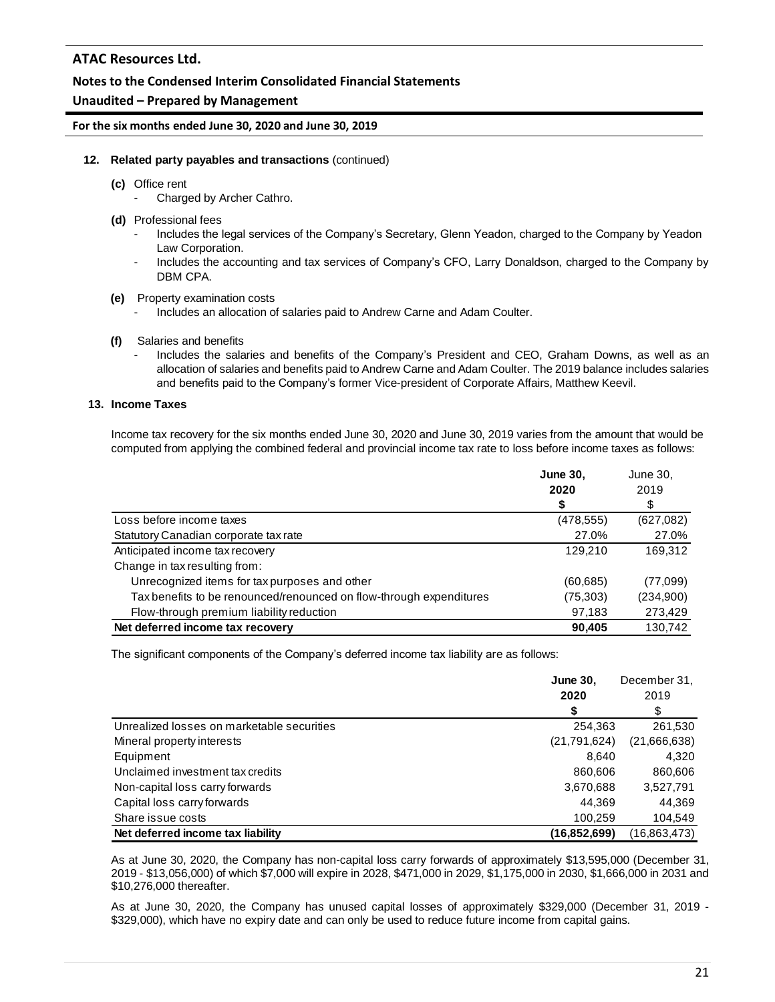### **Notes to the Condensed Interim Consolidated Financial Statements**

### **Unaudited – Prepared by Management**

**For the six months ended June 30, 2020 and June 30, 2019**

### **12. Related party payables and transactions** (continued)

- **(c)** Office rent
	- Charged by Archer Cathro.
- **(d)** Professional fees
	- Includes the legal services of the Company's Secretary, Glenn Yeadon, charged to the Company by Yeadon Law Corporation.
	- Includes the accounting and tax services of Company's CFO, Larry Donaldson, charged to the Company by DBM CPA.
- **(e)** Property examination costs
	- Includes an allocation of salaries paid to Andrew Carne and Adam Coulter.
- **(f)** Salaries and benefits
	- Includes the salaries and benefits of the Company's President and CEO, Graham Downs, as well as an allocation of salaries and benefits paid to Andrew Carne and Adam Coulter. The 2019 balance includes salaries and benefits paid to the Company's former Vice-president of Corporate Affairs, Matthew Keevil.

### **13. Income Taxes**

Income tax recovery for the six months ended June 30, 2020 and June 30, 2019 varies from the amount that would be computed from applying the combined federal and provincial income tax rate to loss before income taxes as follows:

|                                                                     | <b>June 30,</b><br>2020<br>\$ | June 30,<br>2019 |
|---------------------------------------------------------------------|-------------------------------|------------------|
| Loss before income taxes                                            | (478, 555)                    | (627,082)        |
| Statutory Canadian corporate tax rate                               | 27.0%                         | 27.0%            |
| Anticipated income tax recovery                                     | 129.210                       | 169,312          |
| Change in tax resulting from:                                       |                               |                  |
| Unrecognized items for tax purposes and other                       | (60, 685)                     | (77,099)         |
| Tax benefits to be renounced/renounced on flow-through expenditures | (75, 303)                     | (234,900)        |
| Flow-through premium liability reduction                            | 97,183                        | 273,429          |
| Net deferred income tax recovery                                    | 90.405                        | 130.742          |

The significant components of the Company's deferred income tax liability are as follows:

|                                            | <b>June 30,</b> | December 31, |
|--------------------------------------------|-----------------|--------------|
|                                            | 2020            | 2019         |
|                                            | ъ               | \$           |
| Unrealized losses on marketable securities | 254,363         | 261,530      |
| Mineral property interests                 | (21,791,624)    | (21,666,638) |
| Equipment                                  | 8.640           | 4.320        |
| Unclaimed investment tax credits           | 860,606         | 860,606      |
| Non-capital loss carry forwards            | 3,670,688       | 3,527,791    |
| Capital loss carry forwards                | 44.369          | 44.369       |
| Share issue costs                          | 100,259         | 104,549      |
| Net deferred income tax liability          | (16,852,699)    | (16,863,473) |

As at June 30, 2020, the Company has non-capital loss carry forwards of approximately \$13,595,000 (December 31, 2019 - \$13,056,000) of which \$7,000 will expire in 2028, \$471,000 in 2029, \$1,175,000 in 2030, \$1,666,000 in 2031 and \$10,276,000 thereafter.

As at June 30, 2020, the Company has unused capital losses of approximately \$329,000 (December 31, 2019 - \$329,000), which have no expiry date and can only be used to reduce future income from capital gains.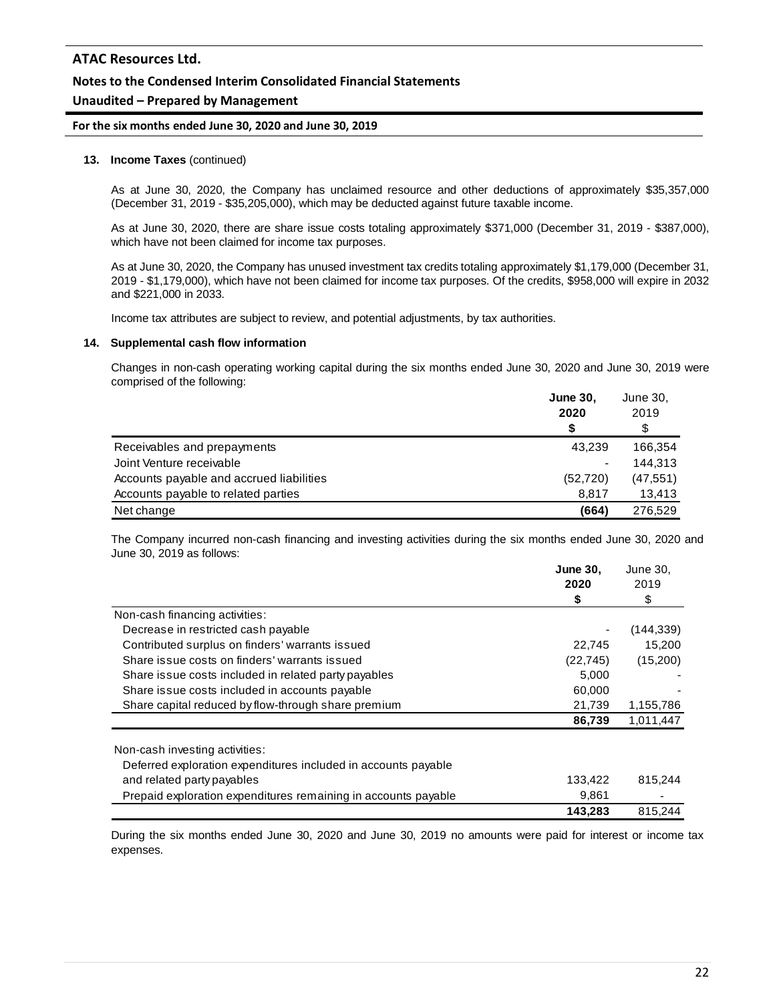### **Notes to the Condensed Interim Consolidated Financial Statements**

## **Unaudited – Prepared by Management**

#### **For the six months ended June 30, 2020 and June 30, 2019**

#### **13. Income Taxes** (continued)

As at June 30, 2020, the Company has unclaimed resource and other deductions of approximately \$35,357,000 (December 31, 2019 - \$35,205,000), which may be deducted against future taxable income.

As at June 30, 2020, there are share issue costs totaling approximately \$371,000 (December 31, 2019 - \$387,000), which have not been claimed for income tax purposes.

As at June 30, 2020, the Company has unused investment tax credits totaling approximately \$1,179,000 (December 31, 2019 - \$1,179,000), which have not been claimed for income tax purposes. Of the credits, \$958,000 will expire in 2032 and \$221,000 in 2033.

Income tax attributes are subject to review, and potential adjustments, by tax authorities.

#### **14. Supplemental cash flow information**

Changes in non-cash operating working capital during the six months ended June 30, 2020 and June 30, 2019 were comprised of the following:

|                                          | <b>June 30.</b> | June 30,  |
|------------------------------------------|-----------------|-----------|
|                                          | 2020            | 2019      |
|                                          | S               | \$        |
| Receivables and prepayments              | 43,239          | 166,354   |
| Joint Venture receivable                 |                 | 144.313   |
| Accounts payable and accrued liabilities | (52, 720)       | (47, 551) |
| Accounts payable to related parties      | 8.817           | 13,413    |
| Net change                               | (664)           | 276.529   |

The Company incurred non-cash financing and investing activities during the six months ended June 30, 2020 and June 30, 2019 as follows:

|                                                                | <b>June 30,</b> | June 30,   |
|----------------------------------------------------------------|-----------------|------------|
|                                                                | 2020            | 2019       |
|                                                                | \$              | \$         |
| Non-cash financing activities:                                 |                 |            |
| Decrease in restricted cash payable                            |                 | (144, 339) |
| Contributed surplus on finders' warrants issued                | 22,745          | 15,200     |
| Share issue costs on finders' warrants issued                  | (22, 745)       | (15,200)   |
| Share issue costs included in related party payables           | 5,000           |            |
| Share issue costs included in accounts payable                 | 60,000          |            |
| Share capital reduced by flow-through share premium            | 21,739          | 1,155,786  |
|                                                                | 86,739          | 1,011,447  |
| Non-cash investing activities:                                 |                 |            |
| Deferred exploration expenditures included in accounts payable |                 |            |
| and related party payables                                     | 133,422         | 815,244    |
| Prepaid exploration expenditures remaining in accounts payable | 9,861           |            |
|                                                                | 143,283         | 815.244    |

During the six months ended June 30, 2020 and June 30, 2019 no amounts were paid for interest or income tax expenses.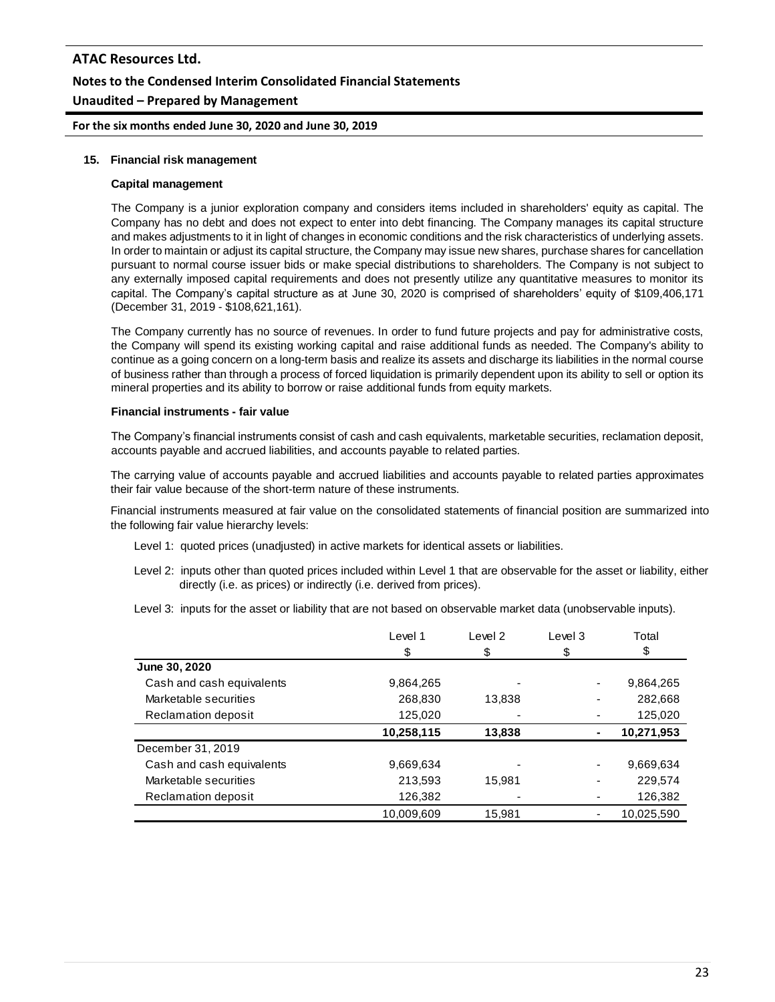# **ATAC Resources Ltd. Notes to the Condensed Interim Consolidated Financial Statements Unaudited – Prepared by Management**

**For the six months ended June 30, 2020 and June 30, 2019**

#### **15. Financial risk management**

#### **Capital management**

The Company is a junior exploration company and considers items included in shareholders' equity as capital. The Company has no debt and does not expect to enter into debt financing. The Company manages its capital structure and makes adjustments to it in light of changes in economic conditions and the risk characteristics of underlying assets. In order to maintain or adjust its capital structure, the Company may issue new shares, purchase shares for cancellation pursuant to normal course issuer bids or make special distributions to shareholders. The Company is not subject to any externally imposed capital requirements and does not presently utilize any quantitative measures to monitor its capital. The Company's capital structure as at June 30, 2020 is comprised of shareholders' equity of \$109,406,171 (December 31, 2019 - \$108,621,161).

The Company currently has no source of revenues. In order to fund future projects and pay for administrative costs, the Company will spend its existing working capital and raise additional funds as needed. The Company's ability to continue as a going concern on a long-term basis and realize its assets and discharge its liabilities in the normal course of business rather than through a process of forced liquidation is primarily dependent upon its ability to sell or option its mineral properties and its ability to borrow or raise additional funds from equity markets.

#### **Financial instruments - fair value**

The Company's financial instruments consist of cash and cash equivalents, marketable securities, reclamation deposit, accounts payable and accrued liabilities, and accounts payable to related parties.

The carrying value of accounts payable and accrued liabilities and accounts payable to related parties approximates their fair value because of the short-term nature of these instruments.

Financial instruments measured at fair value on the consolidated statements of financial position are summarized into the following fair value hierarchy levels:

- Level 1: quoted prices (unadjusted) in active markets for identical assets or liabilities.
- Level 2: inputs other than quoted prices included within Level 1 that are observable for the asset or liability, either directly (i.e. as prices) or indirectly (i.e. derived from prices).
- Level 3: inputs for the asset or liability that are not based on observable market data (unobservable inputs).

|                           | Level 1    | Level 2 | Level 3        | Total      |
|---------------------------|------------|---------|----------------|------------|
|                           | \$         | \$      | \$             | \$         |
| June 30, 2020             |            |         |                |            |
| Cash and cash equivalents | 9,864,265  |         |                | 9,864,265  |
| Marketable securities     | 268,830    | 13,838  |                | 282,668    |
| Reclamation deposit       | 125,020    |         |                | 125,020    |
|                           | 10,258,115 | 13,838  | $\blacksquare$ | 10,271,953 |
| December 31, 2019         |            |         |                |            |
| Cash and cash equivalents | 9,669,634  |         |                | 9,669,634  |
| Marketable securities     | 213,593    | 15.981  |                | 229.574    |
| Reclamation deposit       | 126,382    |         |                | 126,382    |
|                           | 10,009,609 | 15,981  |                | 10,025,590 |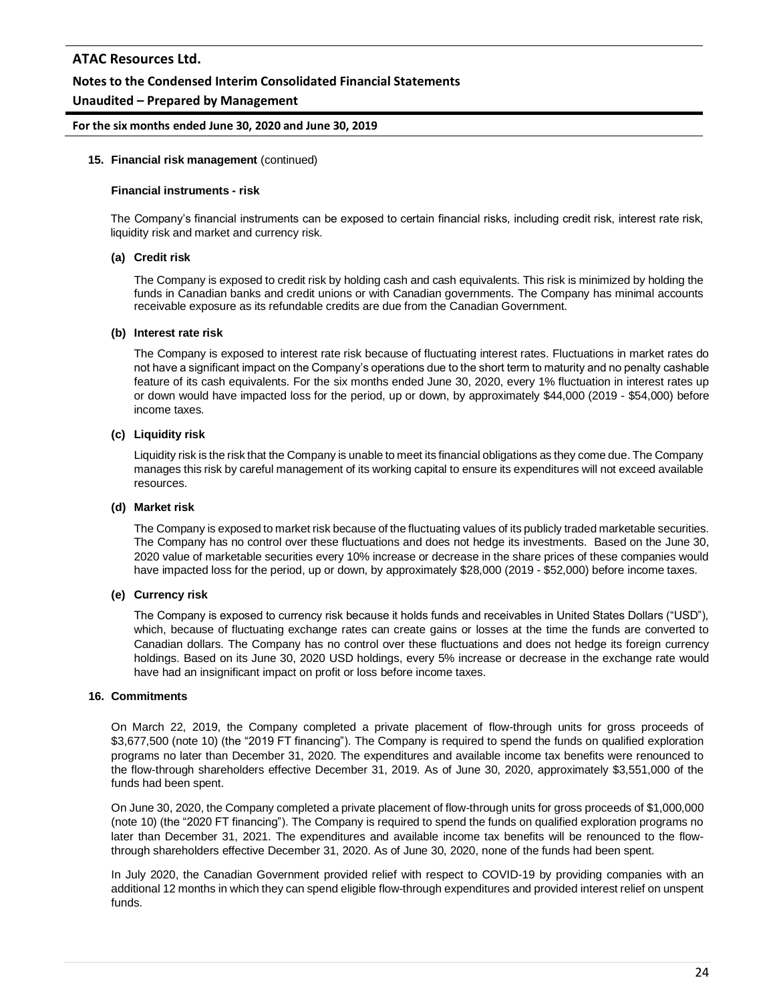### **Notes to the Condensed Interim Consolidated Financial Statements**

### **Unaudited – Prepared by Management**

#### **For the six months ended June 30, 2020 and June 30, 2019**

#### **15. Financial risk management** (continued)

#### **Financial instruments - risk**

The Company's financial instruments can be exposed to certain financial risks, including credit risk, interest rate risk, liquidity risk and market and currency risk.

#### **(a) Credit risk**

The Company is exposed to credit risk by holding cash and cash equivalents. This risk is minimized by holding the funds in Canadian banks and credit unions or with Canadian governments. The Company has minimal accounts receivable exposure as its refundable credits are due from the Canadian Government.

#### **(b) Interest rate risk**

The Company is exposed to interest rate risk because of fluctuating interest rates. Fluctuations in market rates do not have a significant impact on the Company's operations due to the short term to maturity and no penalty cashable feature of its cash equivalents. For the six months ended June 30, 2020, every 1% fluctuation in interest rates up or down would have impacted loss for the period, up or down, by approximately \$44,000 (2019 - \$54,000) before income taxes.

#### **(c) Liquidity risk**

Liquidity risk is the risk that the Company is unable to meet its financial obligations as they come due. The Company manages this risk by careful management of its working capital to ensure its expenditures will not exceed available resources.

#### **(d) Market risk**

The Company is exposed to market risk because of the fluctuating values of its publicly traded marketable securities. The Company has no control over these fluctuations and does not hedge its investments. Based on the June 30, 2020 value of marketable securities every 10% increase or decrease in the share prices of these companies would have impacted loss for the period, up or down, by approximately \$28,000 (2019 - \$52,000) before income taxes.

#### **(e) Currency risk**

The Company is exposed to currency risk because it holds funds and receivables in United States Dollars ("USD"), which, because of fluctuating exchange rates can create gains or losses at the time the funds are converted to Canadian dollars. The Company has no control over these fluctuations and does not hedge its foreign currency holdings. Based on its June 30, 2020 USD holdings, every 5% increase or decrease in the exchange rate would have had an insignificant impact on profit or loss before income taxes.

#### **16. Commitments**

On March 22, 2019, the Company completed a private placement of flow-through units for gross proceeds of \$3,677,500 (note 10) (the "2019 FT financing"). The Company is required to spend the funds on qualified exploration programs no later than December 31, 2020. The expenditures and available income tax benefits were renounced to the flow-through shareholders effective December 31, 2019. As of June 30, 2020, approximately \$3,551,000 of the funds had been spent.

On June 30, 2020, the Company completed a private placement of flow-through units for gross proceeds of \$1,000,000 (note 10) (the "2020 FT financing"). The Company is required to spend the funds on qualified exploration programs no later than December 31, 2021. The expenditures and available income tax benefits will be renounced to the flowthrough shareholders effective December 31, 2020. As of June 30, 2020, none of the funds had been spent.

In July 2020, the Canadian Government provided relief with respect to COVID-19 by providing companies with an additional 12 months in which they can spend eligible flow-through expenditures and provided interest relief on unspent funds.